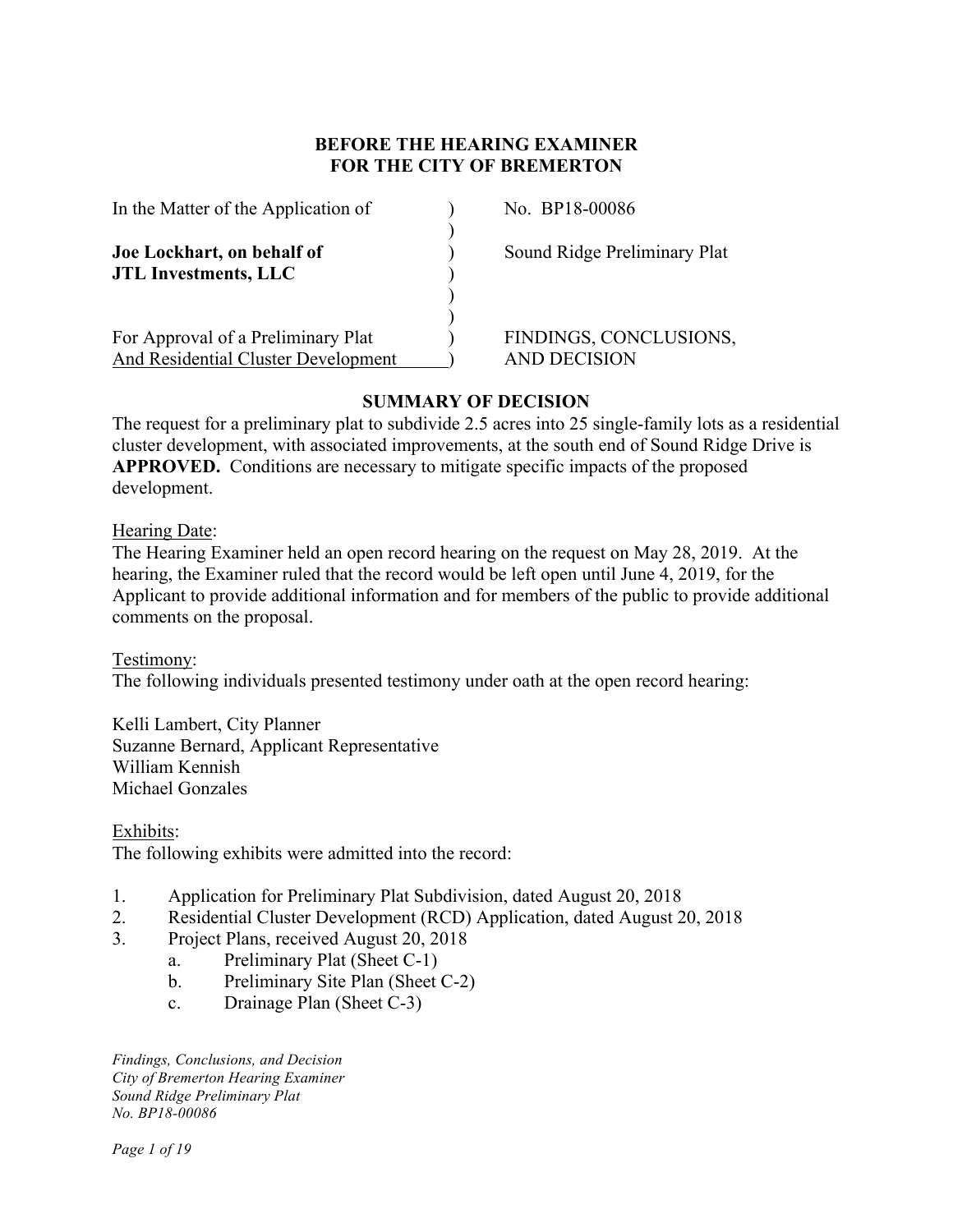## **BEFORE THE HEARING EXAMINER FOR THE CITY OF BREMERTON**

| In the Matter of the Application of                       |  |
|-----------------------------------------------------------|--|
| Joe Lockhart, on behalf of<br><b>JTL Investments, LLC</b> |  |
|                                                           |  |
| For Approval of a Preliminary Plat                        |  |
| And Residential Cluster Development                       |  |

No. BP18-00086

**Sound Ridge Preliminary Plat** 

FINDINGS, CONCLUSIONS, AND DECISION

# **SUMMARY OF DECISION**

The request for a preliminary plat to subdivide 2.5 acres into 25 single-family lots as a residential cluster development, with associated improvements, at the south end of Sound Ridge Drive is **APPROVED.** Conditions are necessary to mitigate specific impacts of the proposed development.

Hearing Date:

The Hearing Examiner held an open record hearing on the request on May 28, 2019. At the hearing, the Examiner ruled that the record would be left open until June 4, 2019, for the Applicant to provide additional information and for members of the public to provide additional comments on the proposal.

Testimony: The following individuals presented testimony under oath at the open record hearing:

Kelli Lambert, City Planner Suzanne Bernard, Applicant Representative William Kennish Michael Gonzales

Exhibits: The following exhibits were admitted into the record:

- 1. Application for Preliminary Plat Subdivision, dated August 20, 2018
- 2. Residential Cluster Development (RCD) Application, dated August 20, 2018
- 3. Project Plans, received August 20, 2018
	- a. Preliminary Plat (Sheet C-1)
	- b. Preliminary Site Plan (Sheet C-2)
	- c. Drainage Plan (Sheet C-3)

*Findings, Conclusions, and Decision City of Bremerton Hearing Examiner Sound Ridge Preliminary Plat No. BP18-00086*

*Page 1 of 19*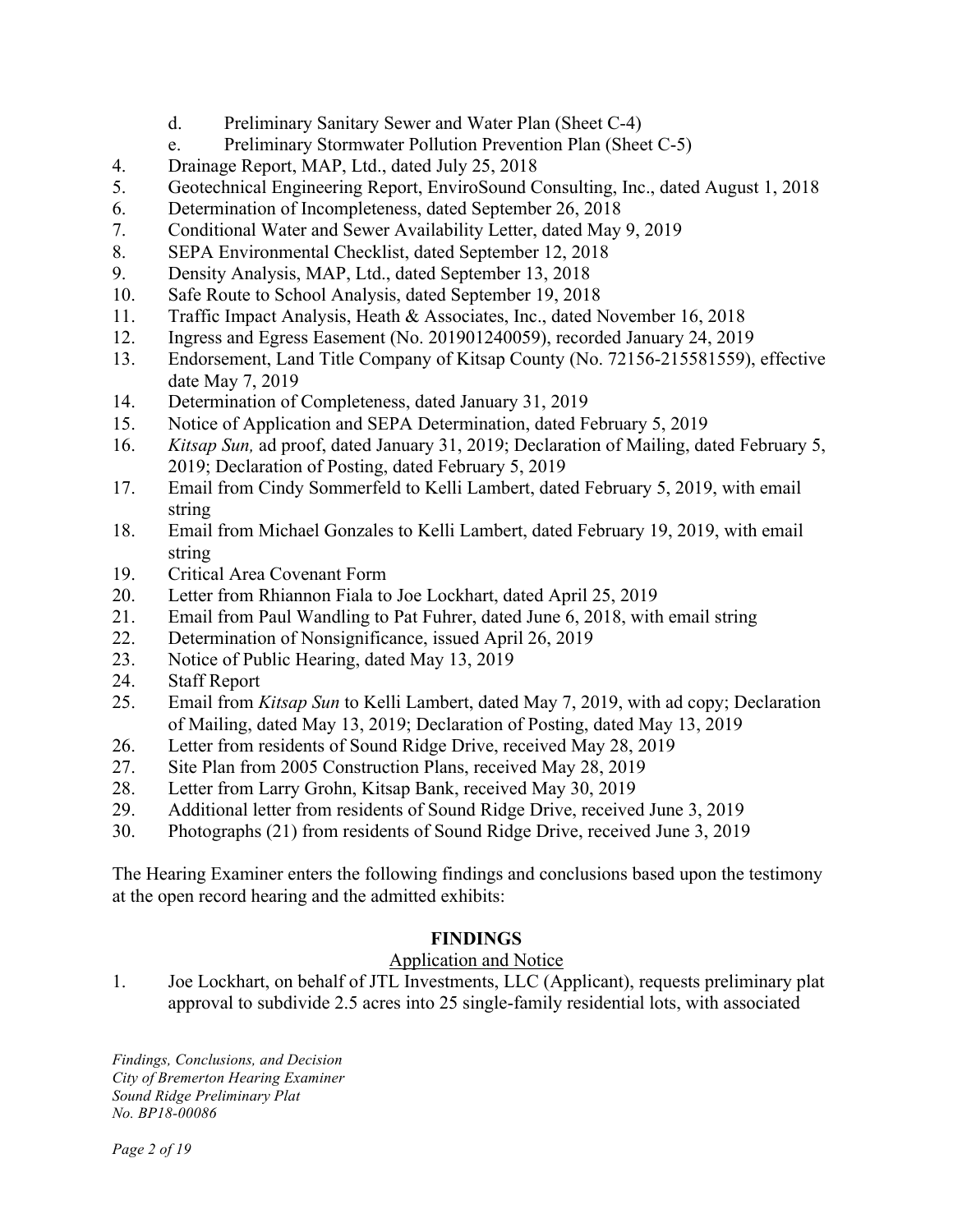- d. Preliminary Sanitary Sewer and Water Plan (Sheet C-4)
- e. Preliminary Stormwater Pollution Prevention Plan (Sheet C-5)
- 4. Drainage Report, MAP, Ltd., dated July 25, 2018
- 5. Geotechnical Engineering Report, EnviroSound Consulting, Inc., dated August 1, 2018
- 6. Determination of Incompleteness, dated September 26, 2018
- 7. Conditional Water and Sewer Availability Letter, dated May 9, 2019
- 8. SEPA Environmental Checklist, dated September 12, 2018
- 9. Density Analysis, MAP, Ltd., dated September 13, 2018
- 10. Safe Route to School Analysis, dated September 19, 2018
- 11. Traffic Impact Analysis, Heath & Associates, Inc., dated November 16, 2018
- 12. Ingress and Egress Easement (No. 201901240059), recorded January 24, 2019
- 13. Endorsement, Land Title Company of Kitsap County (No. 72156-215581559), effective date May 7, 2019
- 14. Determination of Completeness, dated January 31, 2019
- 15. Notice of Application and SEPA Determination, dated February 5, 2019
- 16. *Kitsap Sun,* ad proof, dated January 31, 2019; Declaration of Mailing, dated February 5, 2019; Declaration of Posting, dated February 5, 2019
- 17. Email from Cindy Sommerfeld to Kelli Lambert, dated February 5, 2019, with email string
- 18. Email from Michael Gonzales to Kelli Lambert, dated February 19, 2019, with email string
- 19. Critical Area Covenant Form
- 20. Letter from Rhiannon Fiala to Joe Lockhart, dated April 25, 2019
- 21. Email from Paul Wandling to Pat Fuhrer, dated June 6, 2018, with email string
- 22. Determination of Nonsignificance, issued April 26, 2019
- 23. Notice of Public Hearing, dated May 13, 2019
- 24. Staff Report
- 25. Email from *Kitsap Sun* to Kelli Lambert, dated May 7, 2019, with ad copy; Declaration of Mailing, dated May 13, 2019; Declaration of Posting, dated May 13, 2019
- 26. Letter from residents of Sound Ridge Drive, received May 28, 2019
- 27. Site Plan from 2005 Construction Plans, received May 28, 2019
- 28. Letter from Larry Grohn, Kitsap Bank, received May 30, 2019
- 29. Additional letter from residents of Sound Ridge Drive, received June 3, 2019
- 30. Photographs (21) from residents of Sound Ridge Drive, received June 3, 2019

The Hearing Examiner enters the following findings and conclusions based upon the testimony at the open record hearing and the admitted exhibits:

# **FINDINGS**

Application and Notice

1. Joe Lockhart, on behalf of JTL Investments, LLC (Applicant), requests preliminary plat approval to subdivide 2.5 acres into 25 single-family residential lots, with associated

*Findings, Conclusions, and Decision City of Bremerton Hearing Examiner Sound Ridge Preliminary Plat No. BP18-00086*

*Page 2 of 19*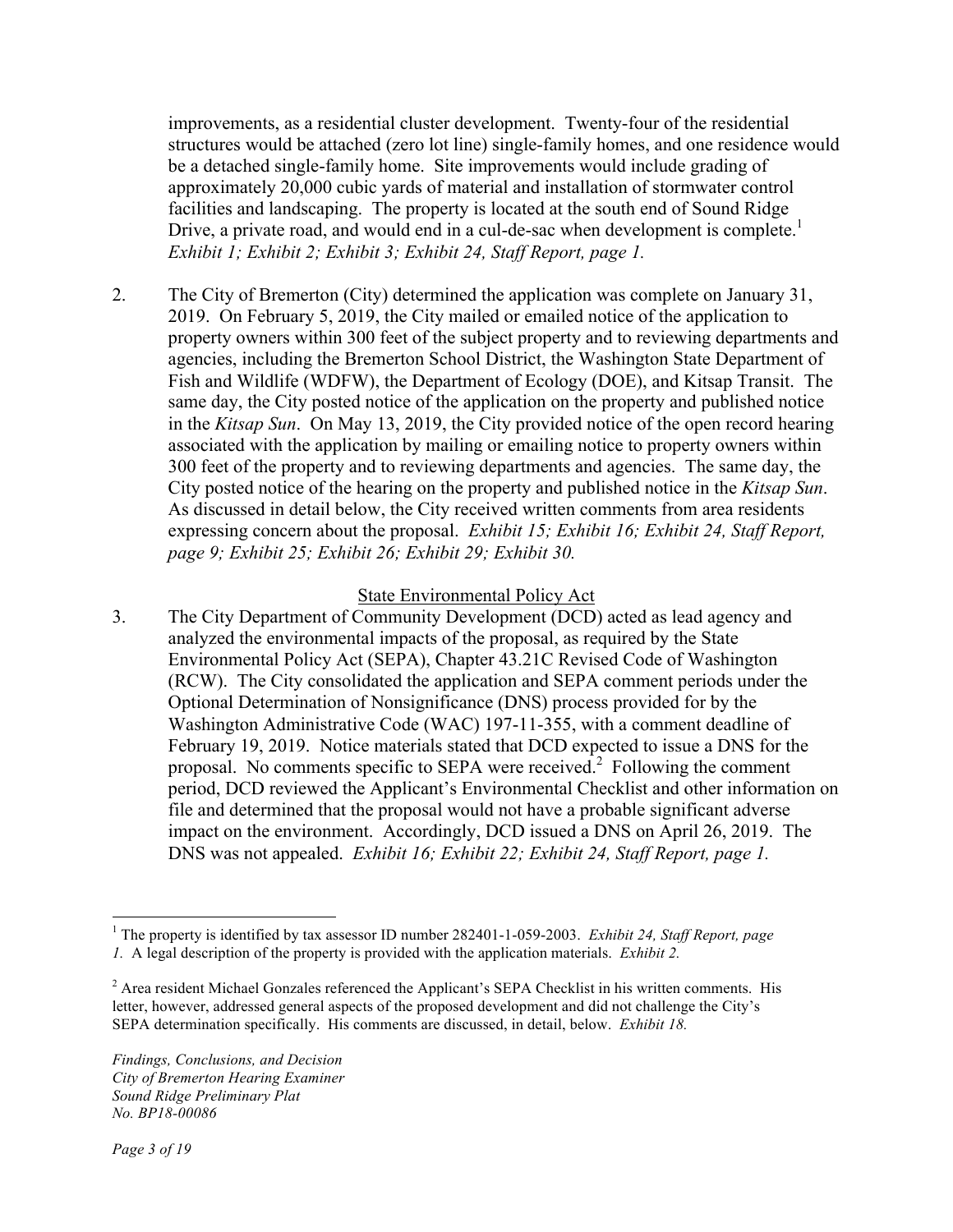improvements, as a residential cluster development. Twenty-four of the residential structures would be attached (zero lot line) single-family homes, and one residence would be a detached single-family home. Site improvements would include grading of approximately 20,000 cubic yards of material and installation of stormwater control facilities and landscaping. The property is located at the south end of Sound Ridge Drive, a private road, and would end in a cul-de-sac when development is complete.<sup>1</sup> *Exhibit 1; Exhibit 2; Exhibit 3; Exhibit 24, Staff Report, page 1.* 

2. The City of Bremerton (City) determined the application was complete on January 31, 2019. On February 5, 2019, the City mailed or emailed notice of the application to property owners within 300 feet of the subject property and to reviewing departments and agencies, including the Bremerton School District, the Washington State Department of Fish and Wildlife (WDFW), the Department of Ecology (DOE), and Kitsap Transit. The same day, the City posted notice of the application on the property and published notice in the *Kitsap Sun*. On May 13, 2019, the City provided notice of the open record hearing associated with the application by mailing or emailing notice to property owners within 300 feet of the property and to reviewing departments and agencies. The same day, the City posted notice of the hearing on the property and published notice in the *Kitsap Sun*. As discussed in detail below, the City received written comments from area residents expressing concern about the proposal. *Exhibit 15; Exhibit 16; Exhibit 24, Staff Report, page 9; Exhibit 25; Exhibit 26; Exhibit 29; Exhibit 30.* 

#### State Environmental Policy Act

3. The City Department of Community Development (DCD) acted as lead agency and analyzed the environmental impacts of the proposal, as required by the State Environmental Policy Act (SEPA), Chapter 43.21C Revised Code of Washington (RCW). The City consolidated the application and SEPA comment periods under the Optional Determination of Nonsignificance (DNS) process provided for by the Washington Administrative Code (WAC) 197-11-355, with a comment deadline of February 19, 2019. Notice materials stated that DCD expected to issue a DNS for the proposal. No comments specific to SEPA were received.<sup>2</sup> Following the comment period, DCD reviewed the Applicant's Environmental Checklist and other information on file and determined that the proposal would not have a probable significant adverse impact on the environment. Accordingly, DCD issued a DNS on April 26, 2019. The DNS was not appealed. *Exhibit 16; Exhibit 22; Exhibit 24, Staff Report, page 1.*

 <sup>1</sup> The property is identified by tax assessor ID number 282401-1-059-2003. *Exhibit 24, Staff Report, page 1.* A legal description of the property is provided with the application materials. *Exhibit 2.*

 $2^2$  Area resident Michael Gonzales referenced the Applicant's SEPA Checklist in his written comments. His letter, however, addressed general aspects of the proposed development and did not challenge the City's SEPA determination specifically. His comments are discussed, in detail, below. *Exhibit 18.*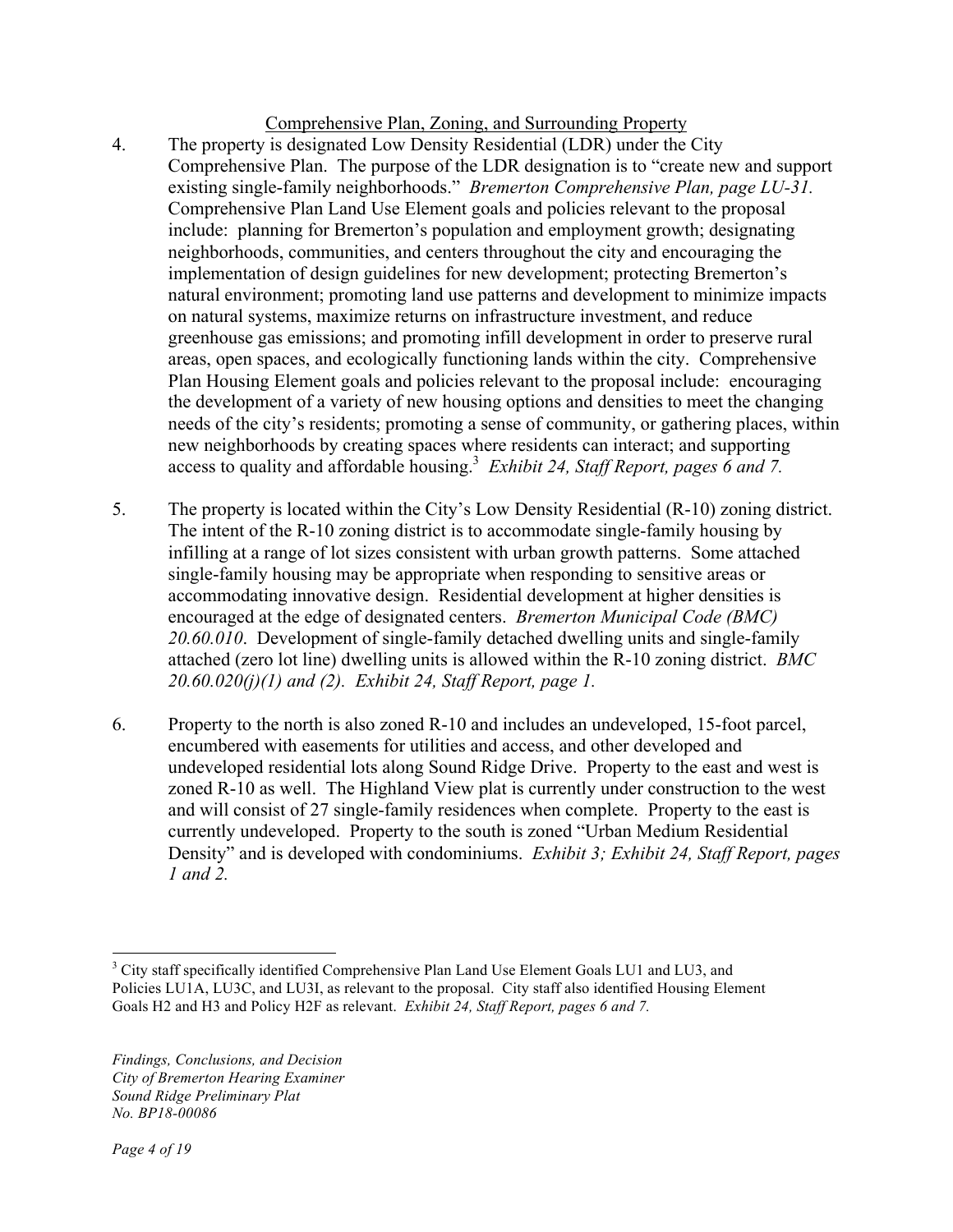### Comprehensive Plan, Zoning, and Surrounding Property

- 4. The property is designated Low Density Residential (LDR) under the City Comprehensive Plan. The purpose of the LDR designation is to "create new and support existing single-family neighborhoods." *Bremerton Comprehensive Plan, page LU-31.*  Comprehensive Plan Land Use Element goals and policies relevant to the proposal include: planning for Bremerton's population and employment growth; designating neighborhoods, communities, and centers throughout the city and encouraging the implementation of design guidelines for new development; protecting Bremerton's natural environment; promoting land use patterns and development to minimize impacts on natural systems, maximize returns on infrastructure investment, and reduce greenhouse gas emissions; and promoting infill development in order to preserve rural areas, open spaces, and ecologically functioning lands within the city. Comprehensive Plan Housing Element goals and policies relevant to the proposal include: encouraging the development of a variety of new housing options and densities to meet the changing needs of the city's residents; promoting a sense of community, or gathering places, within new neighborhoods by creating spaces where residents can interact; and supporting access to quality and affordable housing.<sup>3</sup> Exhibit 24, Staff Report, pages 6 and 7.
- 5. The property is located within the City's Low Density Residential (R-10) zoning district. The intent of the R-10 zoning district is to accommodate single-family housing by infilling at a range of lot sizes consistent with urban growth patterns. Some attached single-family housing may be appropriate when responding to sensitive areas or accommodating innovative design. Residential development at higher densities is encouraged at the edge of designated centers. *Bremerton Municipal Code (BMC) 20.60.010*. Development of single-family detached dwelling units and single-family attached (zero lot line) dwelling units is allowed within the R-10 zoning district. *BMC 20.60.020(j)(1) and (2). Exhibit 24, Staff Report, page 1.*
- 6. Property to the north is also zoned R-10 and includes an undeveloped, 15-foot parcel, encumbered with easements for utilities and access, and other developed and undeveloped residential lots along Sound Ridge Drive. Property to the east and west is zoned R-10 as well. The Highland View plat is currently under construction to the west and will consist of 27 single-family residences when complete. Property to the east is currently undeveloped. Property to the south is zoned "Urban Medium Residential Density" and is developed with condominiums. *Exhibit 3; Exhibit 24, Staff Report, pages 1 and 2.*

 $3$  City staff specifically identified Comprehensive Plan Land Use Element Goals LU1 and LU3, and Policies LU1A, LU3C, and LU3I, as relevant to the proposal. City staff also identified Housing Element Goals H2 and H3 and Policy H2F as relevant. *Exhibit 24, Staff Report, pages 6 and 7.*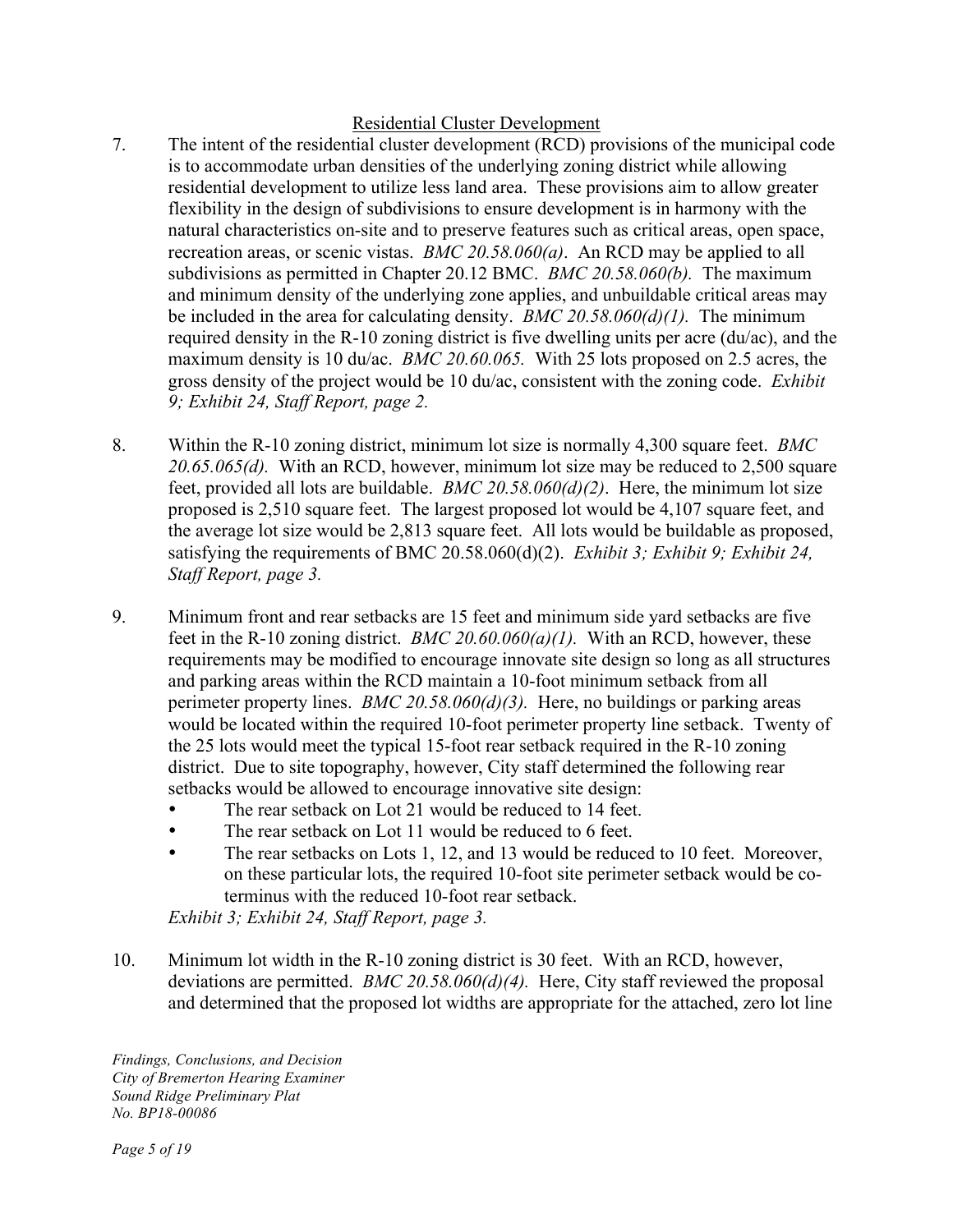## Residential Cluster Development

- 7. The intent of the residential cluster development (RCD) provisions of the municipal code is to accommodate urban densities of the underlying zoning district while allowing residential development to utilize less land area. These provisions aim to allow greater flexibility in the design of subdivisions to ensure development is in harmony with the natural characteristics on-site and to preserve features such as critical areas, open space, recreation areas, or scenic vistas. *BMC 20.58.060(a)*. An RCD may be applied to all subdivisions as permitted in Chapter 20.12 BMC. *BMC 20.58.060(b).* The maximum and minimum density of the underlying zone applies, and unbuildable critical areas may be included in the area for calculating density. *BMC 20.58.060(d)(1).* The minimum required density in the R-10 zoning district is five dwelling units per acre (du/ac), and the maximum density is 10 du/ac. *BMC 20.60.065.* With 25 lots proposed on 2.5 acres, the gross density of the project would be 10 du/ac, consistent with the zoning code. *Exhibit 9; Exhibit 24, Staff Report, page 2.*
- 8. Within the R-10 zoning district, minimum lot size is normally 4,300 square feet. *BMC 20.65.065(d).* With an RCD, however, minimum lot size may be reduced to 2,500 square feet, provided all lots are buildable. *BMC 20.58.060(d)(2)*. Here, the minimum lot size proposed is 2,510 square feet. The largest proposed lot would be 4,107 square feet, and the average lot size would be 2,813 square feet. All lots would be buildable as proposed, satisfying the requirements of BMC 20.58.060(d)(2). *Exhibit 3; Exhibit 9; Exhibit 24, Staff Report, page 3.*
- 9. Minimum front and rear setbacks are 15 feet and minimum side yard setbacks are five feet in the R-10 zoning district. *BMC 20.60.060(a)(1).* With an RCD, however, these requirements may be modified to encourage innovate site design so long as all structures and parking areas within the RCD maintain a 10-foot minimum setback from all perimeter property lines. *BMC 20.58.060(d)(3).* Here, no buildings or parking areas would be located within the required 10-foot perimeter property line setback. Twenty of the 25 lots would meet the typical 15-foot rear setback required in the R-10 zoning district. Due to site topography, however, City staff determined the following rear setbacks would be allowed to encourage innovative site design:
	- The rear setback on Lot 21 would be reduced to 14 feet.
	- The rear setback on Lot 11 would be reduced to 6 feet.
	- The rear setbacks on Lots 1, 12, and 13 would be reduced to 10 feet. Moreover, on these particular lots, the required 10-foot site perimeter setback would be coterminus with the reduced 10-foot rear setback.

*Exhibit 3; Exhibit 24, Staff Report, page 3.* 

10. Minimum lot width in the R-10 zoning district is 30 feet. With an RCD, however, deviations are permitted. *BMC 20.58.060(d)(4).* Here, City staff reviewed the proposal and determined that the proposed lot widths are appropriate for the attached, zero lot line

*Findings, Conclusions, and Decision City of Bremerton Hearing Examiner Sound Ridge Preliminary Plat No. BP18-00086*

*Page 5 of 19*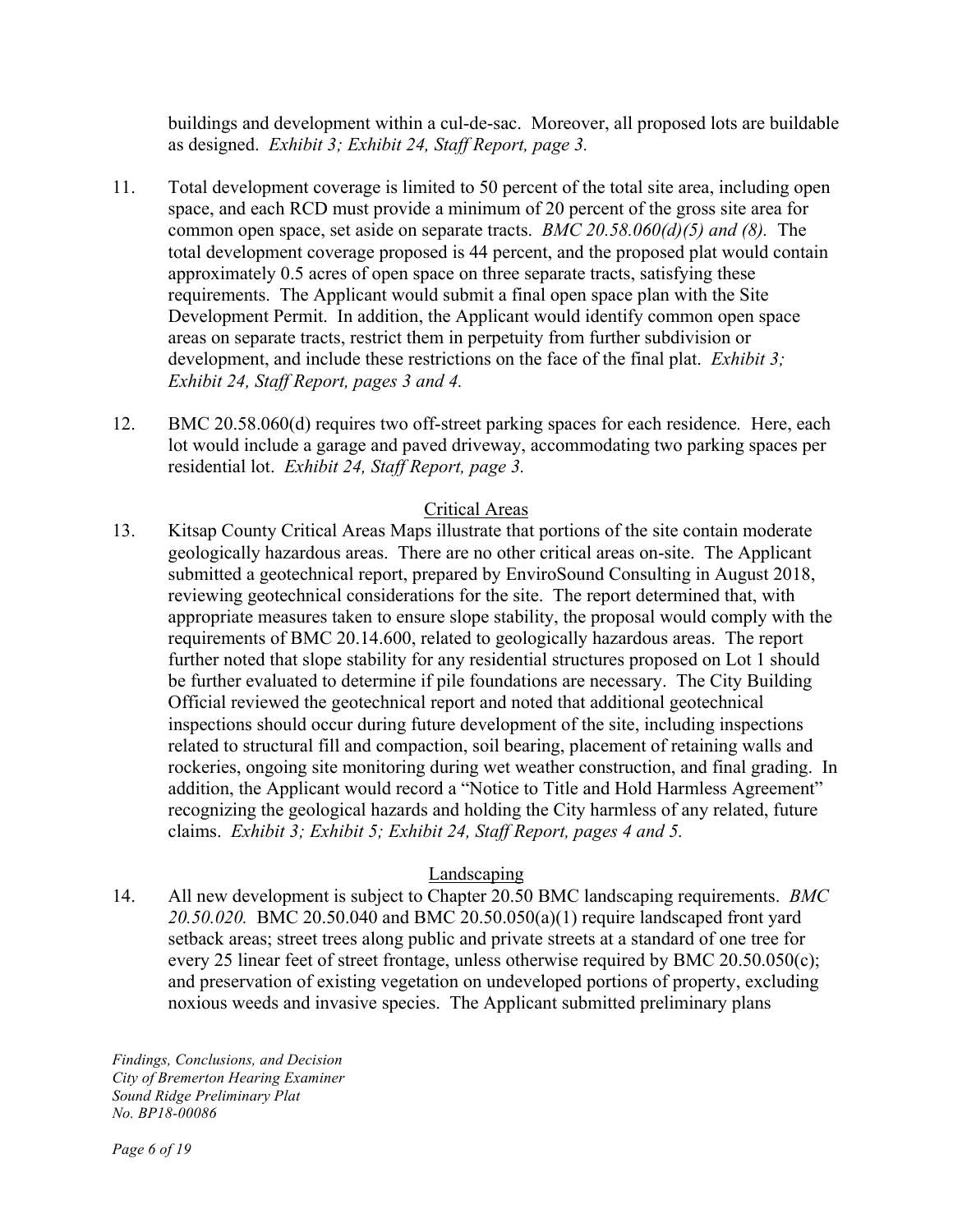buildings and development within a cul-de-sac. Moreover, all proposed lots are buildable as designed. *Exhibit 3; Exhibit 24, Staff Report, page 3.*

- 11. Total development coverage is limited to 50 percent of the total site area, including open space, and each RCD must provide a minimum of 20 percent of the gross site area for common open space, set aside on separate tracts. *BMC 20.58.060(d)(5) and (8).* The total development coverage proposed is 44 percent, and the proposed plat would contain approximately 0.5 acres of open space on three separate tracts, satisfying these requirements. The Applicant would submit a final open space plan with the Site Development Permit. In addition, the Applicant would identify common open space areas on separate tracts, restrict them in perpetuity from further subdivision or development, and include these restrictions on the face of the final plat. *Exhibit 3; Exhibit 24, Staff Report, pages 3 and 4.*
- 12. BMC 20.58.060(d) requires two off-street parking spaces for each residence*.* Here, each lot would include a garage and paved driveway, accommodating two parking spaces per residential lot. *Exhibit 24, Staff Report, page 3.*

## Critical Areas

13. Kitsap County Critical Areas Maps illustrate that portions of the site contain moderate geologically hazardous areas. There are no other critical areas on-site. The Applicant submitted a geotechnical report, prepared by EnviroSound Consulting in August 2018, reviewing geotechnical considerations for the site. The report determined that, with appropriate measures taken to ensure slope stability, the proposal would comply with the requirements of BMC 20.14.600, related to geologically hazardous areas. The report further noted that slope stability for any residential structures proposed on Lot 1 should be further evaluated to determine if pile foundations are necessary. The City Building Official reviewed the geotechnical report and noted that additional geotechnical inspections should occur during future development of the site, including inspections related to structural fill and compaction, soil bearing, placement of retaining walls and rockeries, ongoing site monitoring during wet weather construction, and final grading. In addition, the Applicant would record a "Notice to Title and Hold Harmless Agreement" recognizing the geological hazards and holding the City harmless of any related, future claims. *Exhibit 3; Exhibit 5; Exhibit 24, Staff Report, pages 4 and 5.*

### Landscaping

14. All new development is subject to Chapter 20.50 BMC landscaping requirements. *BMC 20.50.020.* BMC 20.50.040 and BMC 20.50.050(a)(1) require landscaped front yard setback areas; street trees along public and private streets at a standard of one tree for every 25 linear feet of street frontage, unless otherwise required by BMC 20.50.050(c); and preservation of existing vegetation on undeveloped portions of property, excluding noxious weeds and invasive species. The Applicant submitted preliminary plans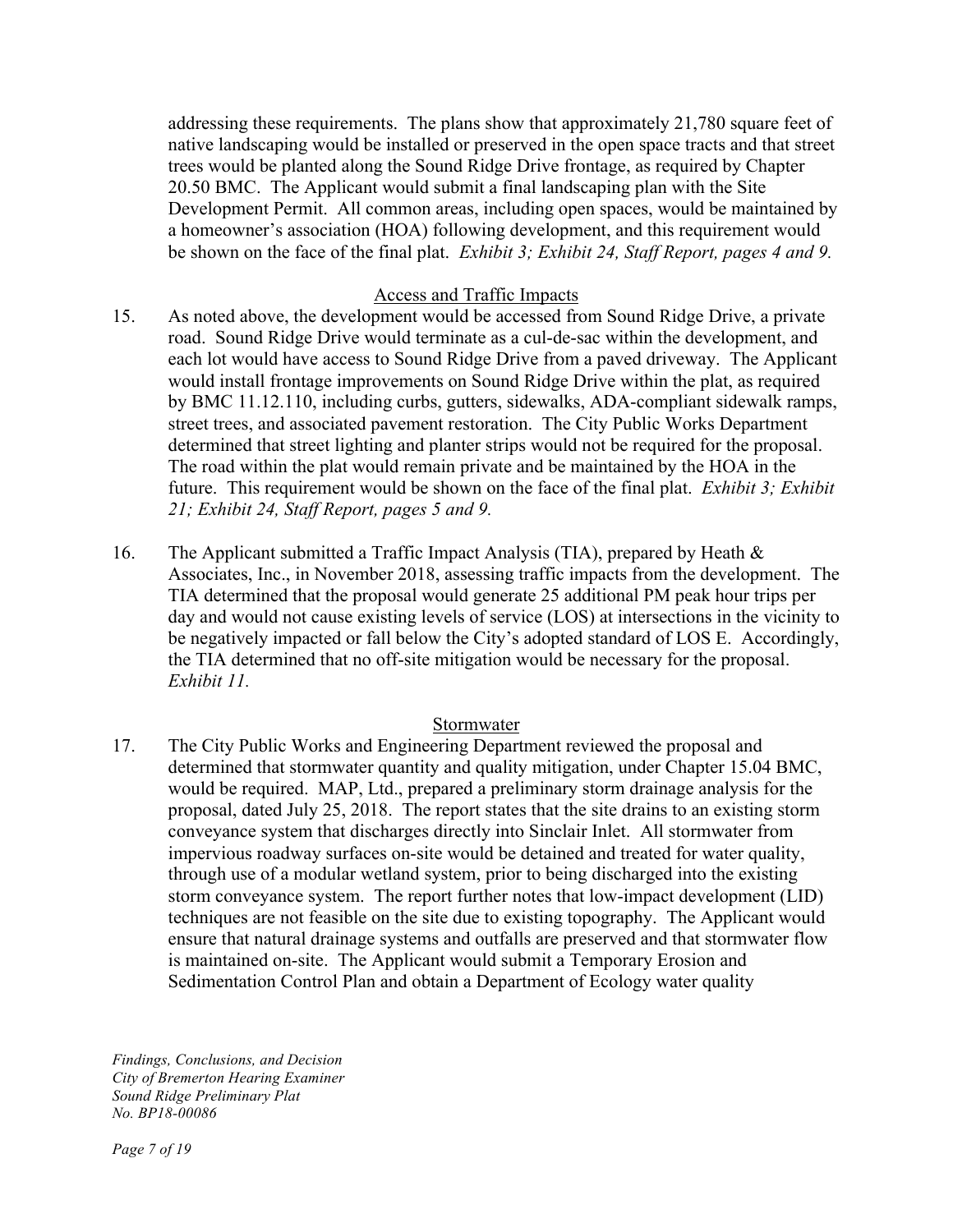addressing these requirements. The plans show that approximately 21,780 square feet of native landscaping would be installed or preserved in the open space tracts and that street trees would be planted along the Sound Ridge Drive frontage, as required by Chapter 20.50 BMC. The Applicant would submit a final landscaping plan with the Site Development Permit. All common areas, including open spaces, would be maintained by a homeowner's association (HOA) following development, and this requirement would be shown on the face of the final plat. *Exhibit 3; Exhibit 24, Staff Report, pages 4 and 9.*

#### Access and Traffic Impacts

- 15. As noted above, the development would be accessed from Sound Ridge Drive, a private road. Sound Ridge Drive would terminate as a cul-de-sac within the development, and each lot would have access to Sound Ridge Drive from a paved driveway. The Applicant would install frontage improvements on Sound Ridge Drive within the plat, as required by BMC 11.12.110, including curbs, gutters, sidewalks, ADA-compliant sidewalk ramps, street trees, and associated pavement restoration. The City Public Works Department determined that street lighting and planter strips would not be required for the proposal. The road within the plat would remain private and be maintained by the HOA in the future. This requirement would be shown on the face of the final plat. *Exhibit 3; Exhibit 21; Exhibit 24, Staff Report, pages 5 and 9.*
- 16. The Applicant submitted a Traffic Impact Analysis (TIA), prepared by Heath & Associates, Inc., in November 2018, assessing traffic impacts from the development. The TIA determined that the proposal would generate 25 additional PM peak hour trips per day and would not cause existing levels of service (LOS) at intersections in the vicinity to be negatively impacted or fall below the City's adopted standard of LOS E. Accordingly, the TIA determined that no off-site mitigation would be necessary for the proposal. *Exhibit 11.*

#### Stormwater

17. The City Public Works and Engineering Department reviewed the proposal and determined that stormwater quantity and quality mitigation, under Chapter 15.04 BMC, would be required. MAP, Ltd., prepared a preliminary storm drainage analysis for the proposal, dated July 25, 2018. The report states that the site drains to an existing storm conveyance system that discharges directly into Sinclair Inlet. All stormwater from impervious roadway surfaces on-site would be detained and treated for water quality, through use of a modular wetland system, prior to being discharged into the existing storm conveyance system. The report further notes that low-impact development (LID) techniques are not feasible on the site due to existing topography. The Applicant would ensure that natural drainage systems and outfalls are preserved and that stormwater flow is maintained on-site. The Applicant would submit a Temporary Erosion and Sedimentation Control Plan and obtain a Department of Ecology water quality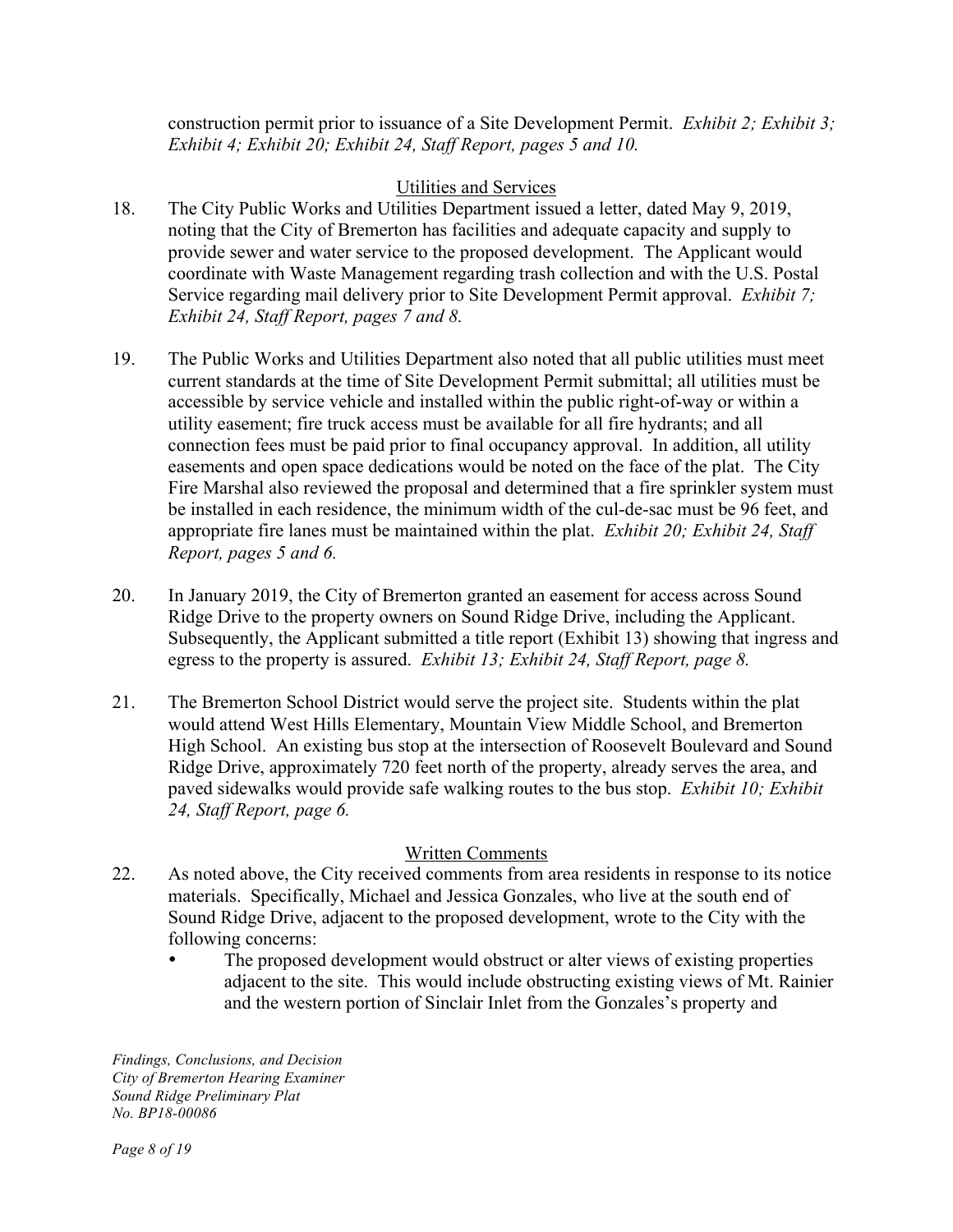construction permit prior to issuance of a Site Development Permit. *Exhibit 2; Exhibit 3; Exhibit 4; Exhibit 20; Exhibit 24, Staff Report, pages 5 and 10.*

## Utilities and Services

- 18. The City Public Works and Utilities Department issued a letter, dated May 9, 2019, noting that the City of Bremerton has facilities and adequate capacity and supply to provide sewer and water service to the proposed development. The Applicant would coordinate with Waste Management regarding trash collection and with the U.S. Postal Service regarding mail delivery prior to Site Development Permit approval. *Exhibit 7; Exhibit 24, Staff Report, pages 7 and 8.*
- 19. The Public Works and Utilities Department also noted that all public utilities must meet current standards at the time of Site Development Permit submittal; all utilities must be accessible by service vehicle and installed within the public right-of-way or within a utility easement; fire truck access must be available for all fire hydrants; and all connection fees must be paid prior to final occupancy approval. In addition, all utility easements and open space dedications would be noted on the face of the plat. The City Fire Marshal also reviewed the proposal and determined that a fire sprinkler system must be installed in each residence, the minimum width of the cul-de-sac must be 96 feet, and appropriate fire lanes must be maintained within the plat. *Exhibit 20; Exhibit 24, Staff Report, pages 5 and 6.*
- 20. In January 2019, the City of Bremerton granted an easement for access across Sound Ridge Drive to the property owners on Sound Ridge Drive, including the Applicant. Subsequently, the Applicant submitted a title report (Exhibit 13) showing that ingress and egress to the property is assured. *Exhibit 13; Exhibit 24, Staff Report, page 8.*
- 21. The Bremerton School District would serve the project site. Students within the plat would attend West Hills Elementary, Mountain View Middle School, and Bremerton High School. An existing bus stop at the intersection of Roosevelt Boulevard and Sound Ridge Drive, approximately 720 feet north of the property, already serves the area, and paved sidewalks would provide safe walking routes to the bus stop. *Exhibit 10; Exhibit 24, Staff Report, page 6.*

## Written Comments

- 22. As noted above, the City received comments from area residents in response to its notice materials. Specifically, Michael and Jessica Gonzales, who live at the south end of Sound Ridge Drive, adjacent to the proposed development, wrote to the City with the following concerns:
	- The proposed development would obstruct or alter views of existing properties adjacent to the site. This would include obstructing existing views of Mt. Rainier and the western portion of Sinclair Inlet from the Gonzales's property and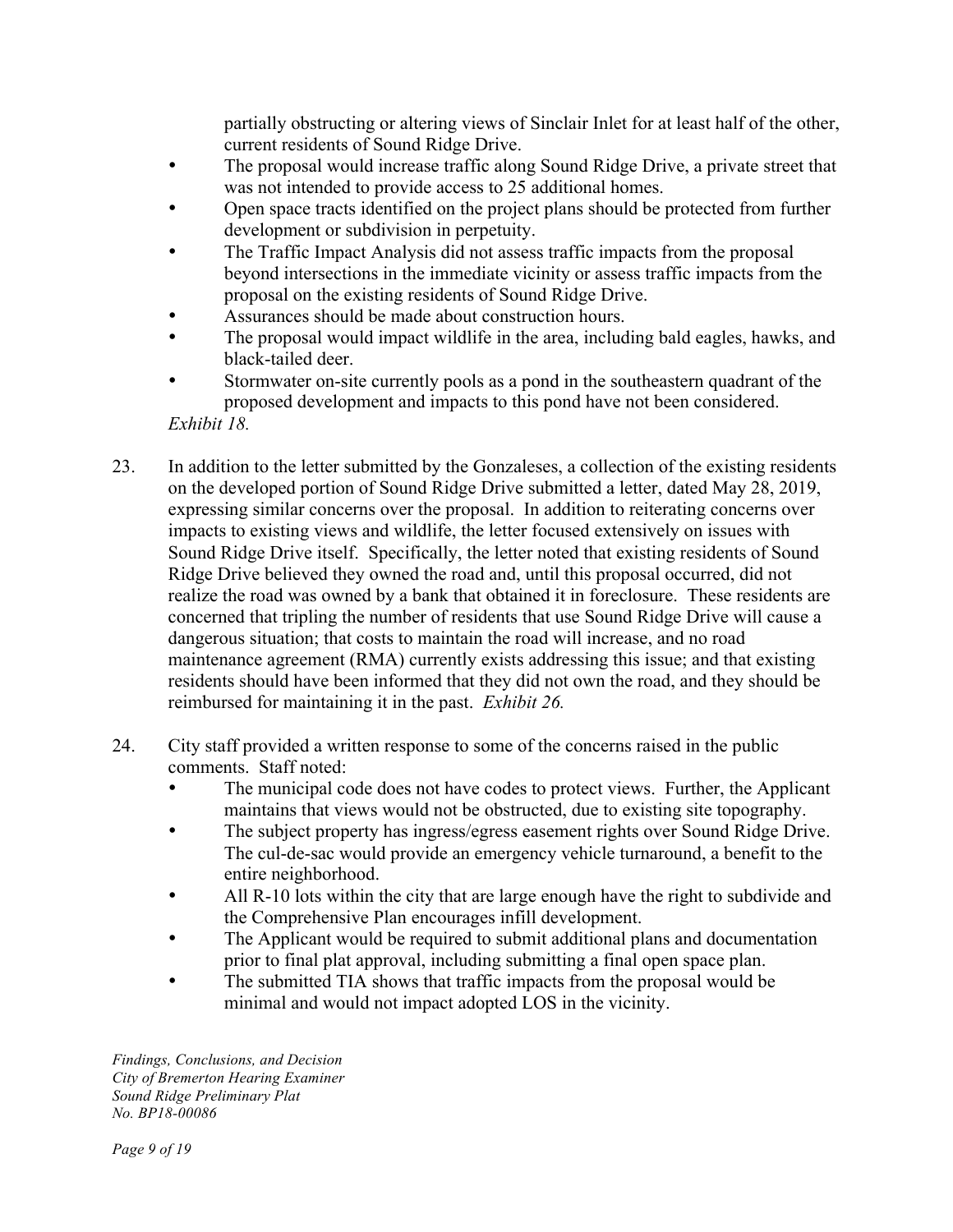partially obstructing or altering views of Sinclair Inlet for at least half of the other, current residents of Sound Ridge Drive.

- The proposal would increase traffic along Sound Ridge Drive, a private street that was not intended to provide access to 25 additional homes.
- Open space tracts identified on the project plans should be protected from further development or subdivision in perpetuity.
- The Traffic Impact Analysis did not assess traffic impacts from the proposal beyond intersections in the immediate vicinity or assess traffic impacts from the proposal on the existing residents of Sound Ridge Drive.
- Assurances should be made about construction hours.
- The proposal would impact wildlife in the area, including bald eagles, hawks, and black-tailed deer.
- Stormwater on-site currently pools as a pond in the southeastern quadrant of the proposed development and impacts to this pond have not been considered. *Exhibit 18.*
- 23. In addition to the letter submitted by the Gonzaleses, a collection of the existing residents on the developed portion of Sound Ridge Drive submitted a letter, dated May 28, 2019, expressing similar concerns over the proposal. In addition to reiterating concerns over impacts to existing views and wildlife, the letter focused extensively on issues with Sound Ridge Drive itself. Specifically, the letter noted that existing residents of Sound Ridge Drive believed they owned the road and, until this proposal occurred, did not realize the road was owned by a bank that obtained it in foreclosure. These residents are concerned that tripling the number of residents that use Sound Ridge Drive will cause a dangerous situation; that costs to maintain the road will increase, and no road maintenance agreement (RMA) currently exists addressing this issue; and that existing residents should have been informed that they did not own the road, and they should be reimbursed for maintaining it in the past. *Exhibit 26.*
- 24. City staff provided a written response to some of the concerns raised in the public comments. Staff noted:
	- The municipal code does not have codes to protect views. Further, the Applicant maintains that views would not be obstructed, due to existing site topography.
	- The subject property has ingress/egress easement rights over Sound Ridge Drive. The cul-de-sac would provide an emergency vehicle turnaround, a benefit to the entire neighborhood.
	- All R-10 lots within the city that are large enough have the right to subdivide and the Comprehensive Plan encourages infill development.
	- The Applicant would be required to submit additional plans and documentation prior to final plat approval, including submitting a final open space plan.
	- The submitted TIA shows that traffic impacts from the proposal would be minimal and would not impact adopted LOS in the vicinity.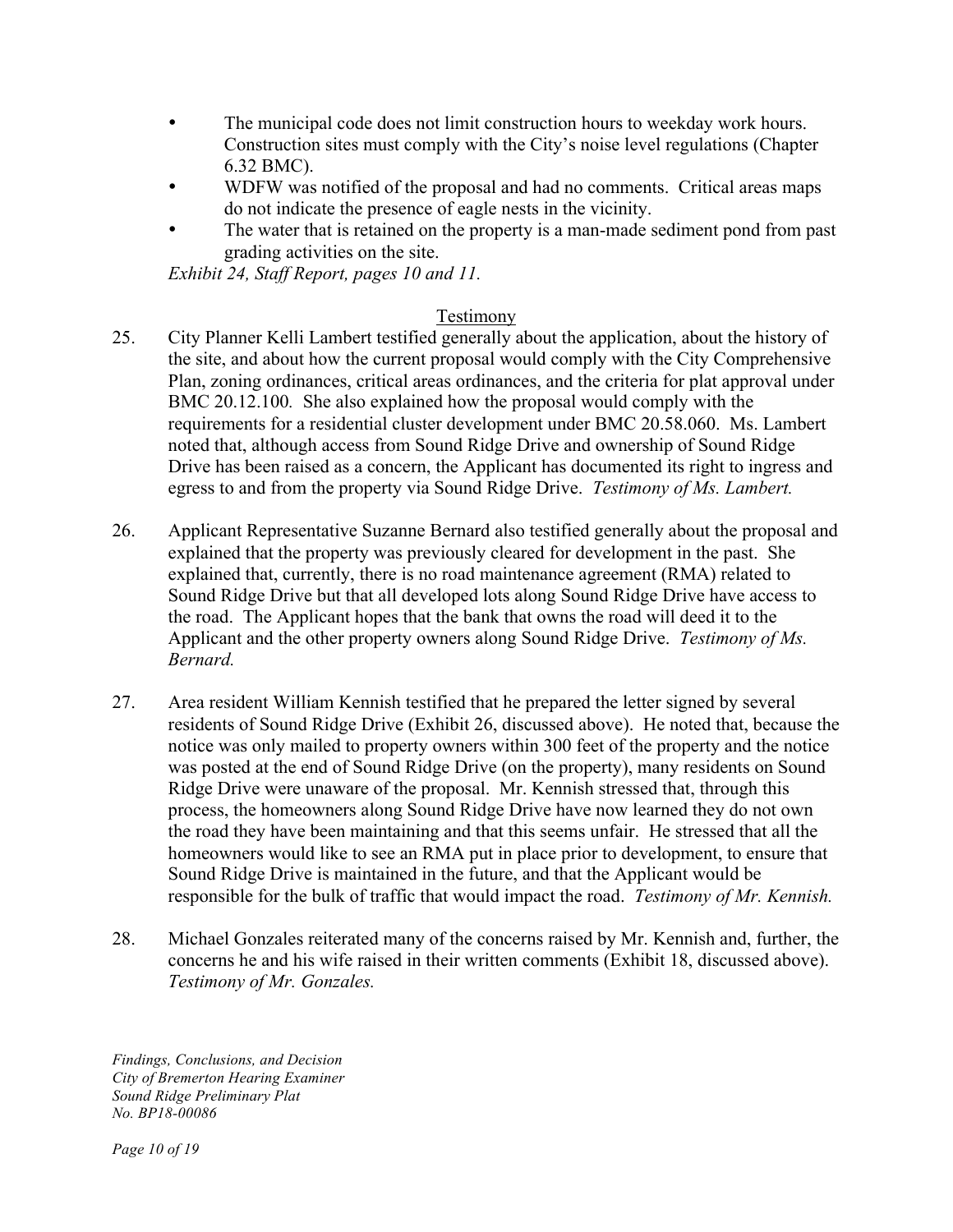- The municipal code does not limit construction hours to weekday work hours. Construction sites must comply with the City's noise level regulations (Chapter 6.32 BMC).
- WDFW was notified of the proposal and had no comments. Critical areas maps do not indicate the presence of eagle nests in the vicinity.
- The water that is retained on the property is a man-made sediment pond from past grading activities on the site.

*Exhibit 24, Staff Report, pages 10 and 11.* 

### Testimony

- 25. City Planner Kelli Lambert testified generally about the application, about the history of the site, and about how the current proposal would comply with the City Comprehensive Plan, zoning ordinances, critical areas ordinances, and the criteria for plat approval under BMC 20.12.100*.* She also explained how the proposal would comply with the requirements for a residential cluster development under BMC 20.58.060. Ms. Lambert noted that, although access from Sound Ridge Drive and ownership of Sound Ridge Drive has been raised as a concern, the Applicant has documented its right to ingress and egress to and from the property via Sound Ridge Drive. *Testimony of Ms. Lambert.*
- 26. Applicant Representative Suzanne Bernard also testified generally about the proposal and explained that the property was previously cleared for development in the past. She explained that, currently, there is no road maintenance agreement (RMA) related to Sound Ridge Drive but that all developed lots along Sound Ridge Drive have access to the road. The Applicant hopes that the bank that owns the road will deed it to the Applicant and the other property owners along Sound Ridge Drive. *Testimony of Ms. Bernard.*
- 27. Area resident William Kennish testified that he prepared the letter signed by several residents of Sound Ridge Drive (Exhibit 26, discussed above). He noted that, because the notice was only mailed to property owners within 300 feet of the property and the notice was posted at the end of Sound Ridge Drive (on the property), many residents on Sound Ridge Drive were unaware of the proposal. Mr. Kennish stressed that, through this process, the homeowners along Sound Ridge Drive have now learned they do not own the road they have been maintaining and that this seems unfair. He stressed that all the homeowners would like to see an RMA put in place prior to development, to ensure that Sound Ridge Drive is maintained in the future, and that the Applicant would be responsible for the bulk of traffic that would impact the road. *Testimony of Mr. Kennish.*
- 28. Michael Gonzales reiterated many of the concerns raised by Mr. Kennish and, further, the concerns he and his wife raised in their written comments (Exhibit 18, discussed above). *Testimony of Mr. Gonzales.*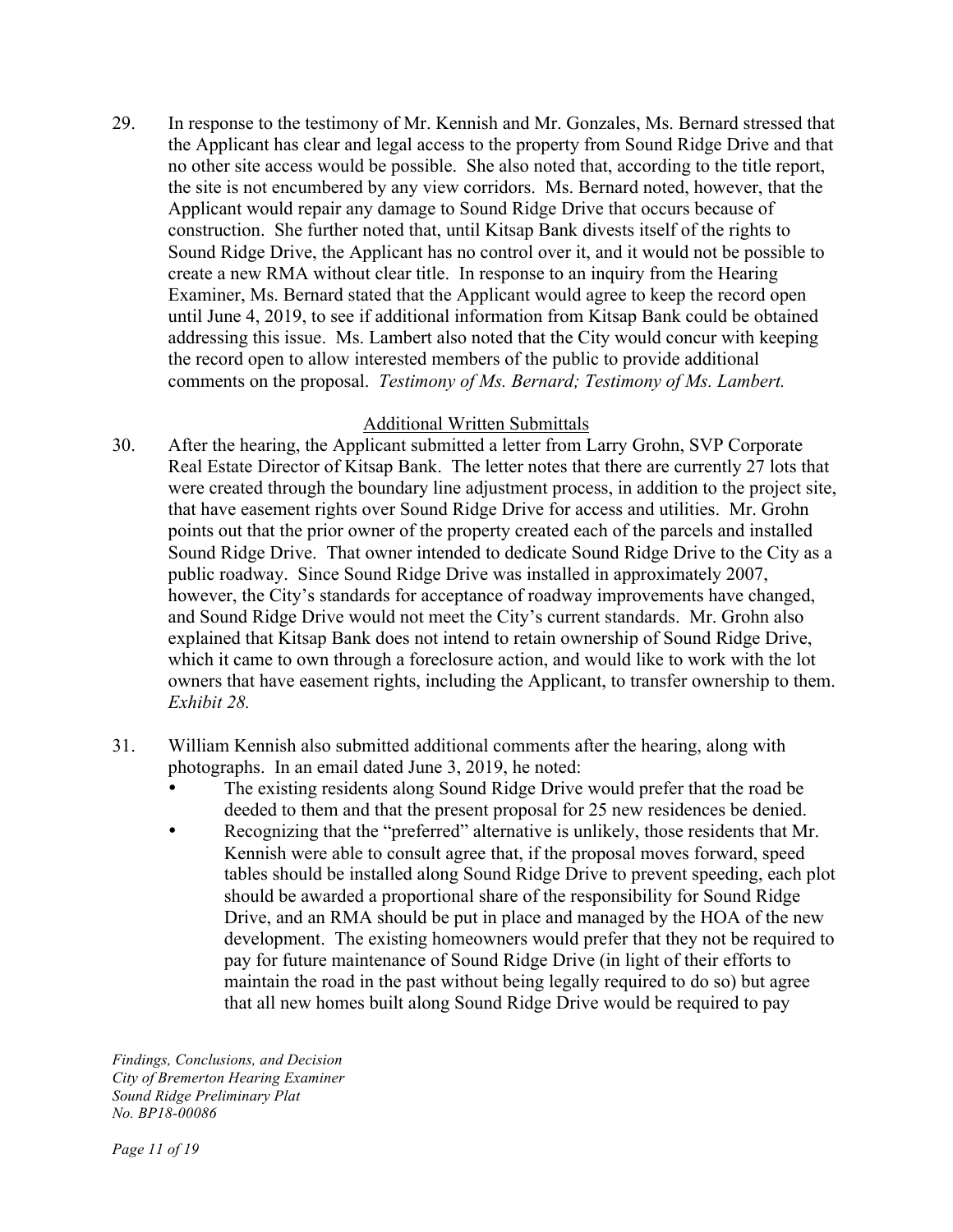29. In response to the testimony of Mr. Kennish and Mr. Gonzales, Ms. Bernard stressed that the Applicant has clear and legal access to the property from Sound Ridge Drive and that no other site access would be possible. She also noted that, according to the title report, the site is not encumbered by any view corridors. Ms. Bernard noted, however, that the Applicant would repair any damage to Sound Ridge Drive that occurs because of construction. She further noted that, until Kitsap Bank divests itself of the rights to Sound Ridge Drive, the Applicant has no control over it, and it would not be possible to create a new RMA without clear title. In response to an inquiry from the Hearing Examiner, Ms. Bernard stated that the Applicant would agree to keep the record open until June 4, 2019, to see if additional information from Kitsap Bank could be obtained addressing this issue. Ms. Lambert also noted that the City would concur with keeping the record open to allow interested members of the public to provide additional comments on the proposal. *Testimony of Ms. Bernard; Testimony of Ms. Lambert.*

### Additional Written Submittals

- 30. After the hearing, the Applicant submitted a letter from Larry Grohn, SVP Corporate Real Estate Director of Kitsap Bank. The letter notes that there are currently 27 lots that were created through the boundary line adjustment process, in addition to the project site, that have easement rights over Sound Ridge Drive for access and utilities. Mr. Grohn points out that the prior owner of the property created each of the parcels and installed Sound Ridge Drive. That owner intended to dedicate Sound Ridge Drive to the City as a public roadway. Since Sound Ridge Drive was installed in approximately 2007, however, the City's standards for acceptance of roadway improvements have changed, and Sound Ridge Drive would not meet the City's current standards. Mr. Grohn also explained that Kitsap Bank does not intend to retain ownership of Sound Ridge Drive, which it came to own through a foreclosure action, and would like to work with the lot owners that have easement rights, including the Applicant, to transfer ownership to them. *Exhibit 28.*
- 31. William Kennish also submitted additional comments after the hearing, along with photographs. In an email dated June 3, 2019, he noted:
	- The existing residents along Sound Ridge Drive would prefer that the road be deeded to them and that the present proposal for 25 new residences be denied.
	- Recognizing that the "preferred" alternative is unlikely, those residents that Mr. Kennish were able to consult agree that, if the proposal moves forward, speed tables should be installed along Sound Ridge Drive to prevent speeding, each plot should be awarded a proportional share of the responsibility for Sound Ridge Drive, and an RMA should be put in place and managed by the HOA of the new development. The existing homeowners would prefer that they not be required to pay for future maintenance of Sound Ridge Drive (in light of their efforts to maintain the road in the past without being legally required to do so) but agree that all new homes built along Sound Ridge Drive would be required to pay

*Findings, Conclusions, and Decision City of Bremerton Hearing Examiner Sound Ridge Preliminary Plat No. BP18-00086*

*Page 11 of 19*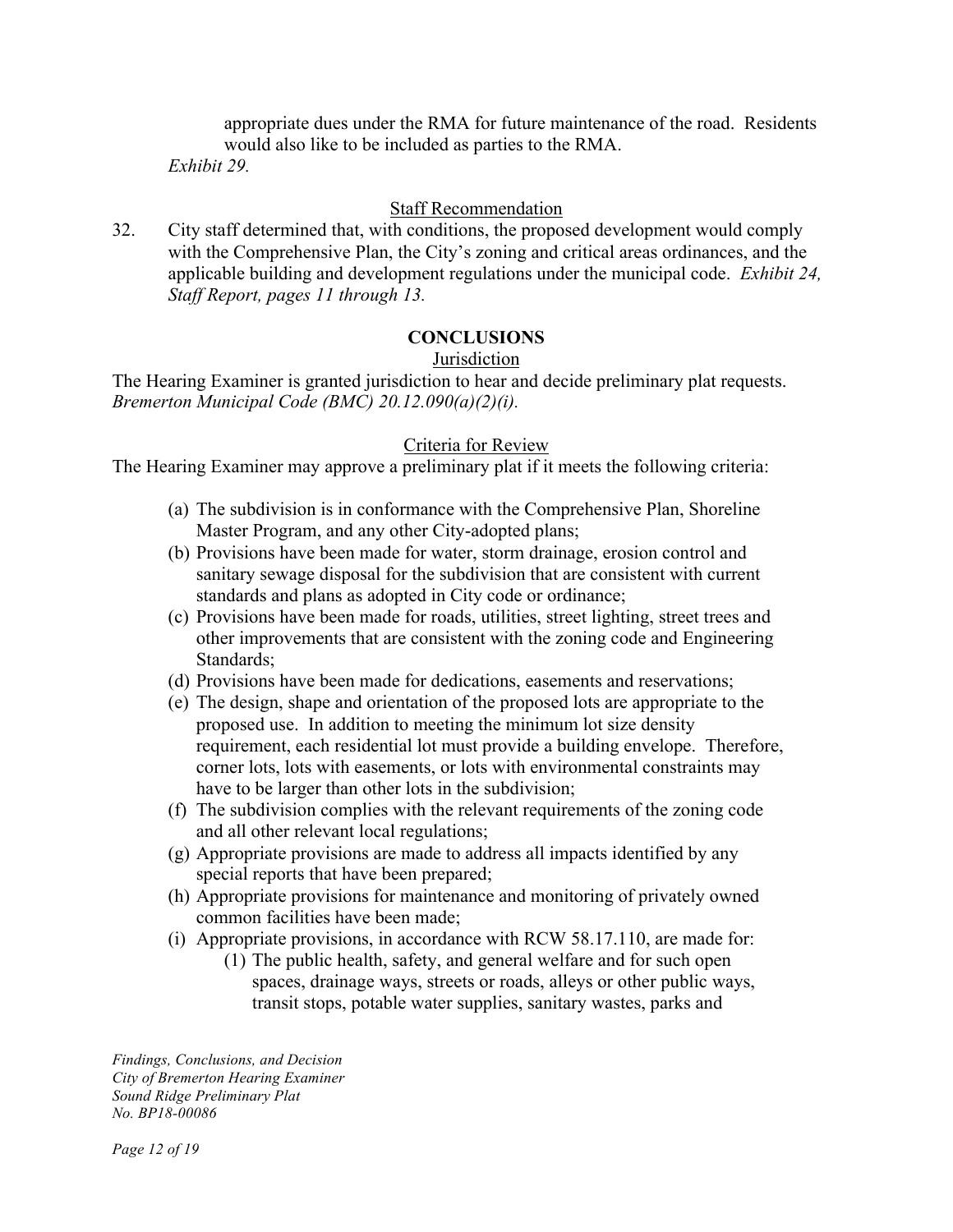appropriate dues under the RMA for future maintenance of the road. Residents would also like to be included as parties to the RMA.

*Exhibit 29.*

### Staff Recommendation

32. City staff determined that, with conditions, the proposed development would comply with the Comprehensive Plan, the City's zoning and critical areas ordinances, and the applicable building and development regulations under the municipal code. *Exhibit 24, Staff Report, pages 11 through 13.*

## **CONCLUSIONS**

### **Jurisdiction**

The Hearing Examiner is granted jurisdiction to hear and decide preliminary plat requests. *Bremerton Municipal Code (BMC) 20.12.090(a)(2)(i).* 

### Criteria for Review

The Hearing Examiner may approve a preliminary plat if it meets the following criteria:

- (a) The subdivision is in conformance with the Comprehensive Plan, Shoreline Master Program, and any other City-adopted plans;
- (b) Provisions have been made for water, storm drainage, erosion control and sanitary sewage disposal for the subdivision that are consistent with current standards and plans as adopted in City code or ordinance;
- (c) Provisions have been made for roads, utilities, street lighting, street trees and other improvements that are consistent with the zoning code and Engineering Standards;
- (d) Provisions have been made for dedications, easements and reservations;
- (e) The design, shape and orientation of the proposed lots are appropriate to the proposed use. In addition to meeting the minimum lot size density requirement, each residential lot must provide a building envelope. Therefore, corner lots, lots with easements, or lots with environmental constraints may have to be larger than other lots in the subdivision;
- (f) The subdivision complies with the relevant requirements of the zoning code and all other relevant local regulations;
- (g) Appropriate provisions are made to address all impacts identified by any special reports that have been prepared;
- (h) Appropriate provisions for maintenance and monitoring of privately owned common facilities have been made;
- (i) Appropriate provisions, in accordance with RCW 58.17.110, are made for:
	- (1) The public health, safety, and general welfare and for such open spaces, drainage ways, streets or roads, alleys or other public ways, transit stops, potable water supplies, sanitary wastes, parks and

*Findings, Conclusions, and Decision City of Bremerton Hearing Examiner Sound Ridge Preliminary Plat No. BP18-00086*

*Page 12 of 19*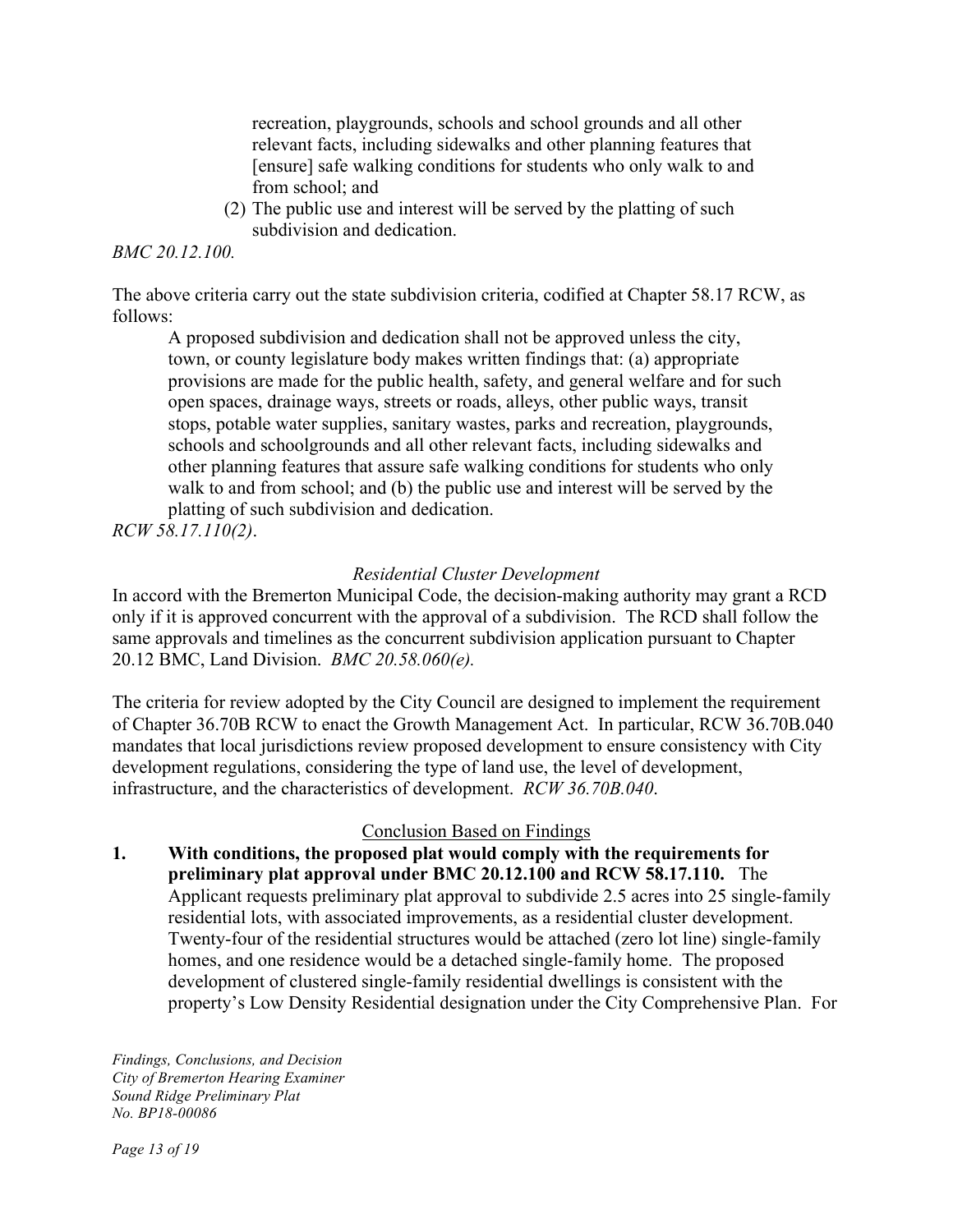recreation, playgrounds, schools and school grounds and all other relevant facts, including sidewalks and other planning features that [ensure] safe walking conditions for students who only walk to and from school; and

(2) The public use and interest will be served by the platting of such subdivision and dedication.

#### *BMC 20.12.100.*

The above criteria carry out the state subdivision criteria, codified at Chapter 58.17 RCW, as follows:

A proposed subdivision and dedication shall not be approved unless the city, town, or county legislature body makes written findings that: (a) appropriate provisions are made for the public health, safety, and general welfare and for such open spaces, drainage ways, streets or roads, alleys, other public ways, transit stops, potable water supplies, sanitary wastes, parks and recreation, playgrounds, schools and schoolgrounds and all other relevant facts, including sidewalks and other planning features that assure safe walking conditions for students who only walk to and from school; and (b) the public use and interest will be served by the platting of such subdivision and dedication.

*RCW 58.17.110(2)*.

#### *Residential Cluster Development*

In accord with the Bremerton Municipal Code, the decision-making authority may grant a RCD only if it is approved concurrent with the approval of a subdivision. The RCD shall follow the same approvals and timelines as the concurrent subdivision application pursuant to Chapter 20.12 BMC, Land Division. *BMC 20.58.060(e).*

The criteria for review adopted by the City Council are designed to implement the requirement of Chapter 36.70B RCW to enact the Growth Management Act. In particular, RCW 36.70B.040 mandates that local jurisdictions review proposed development to ensure consistency with City development regulations, considering the type of land use, the level of development, infrastructure, and the characteristics of development. *RCW 36.70B.040*.

#### Conclusion Based on Findings

**1. With conditions, the proposed plat would comply with the requirements for preliminary plat approval under BMC 20.12.100 and RCW 58.17.110.** The Applicant requests preliminary plat approval to subdivide 2.5 acres into 25 single-family residential lots, with associated improvements, as a residential cluster development. Twenty-four of the residential structures would be attached (zero lot line) single-family homes, and one residence would be a detached single-family home. The proposed development of clustered single-family residential dwellings is consistent with the property's Low Density Residential designation under the City Comprehensive Plan. For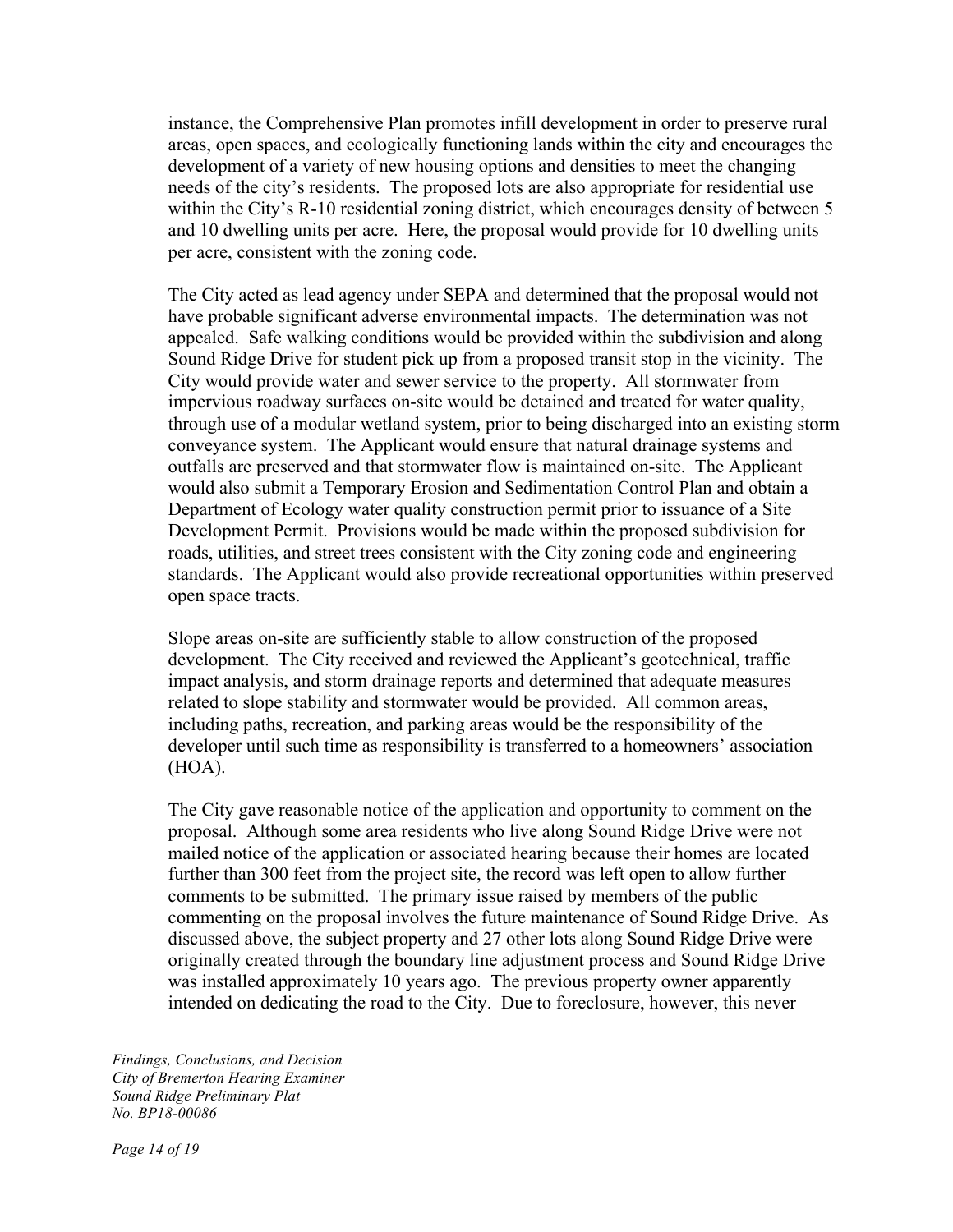instance, the Comprehensive Plan promotes infill development in order to preserve rural areas, open spaces, and ecologically functioning lands within the city and encourages the development of a variety of new housing options and densities to meet the changing needs of the city's residents. The proposed lots are also appropriate for residential use within the City's R-10 residential zoning district, which encourages density of between 5 and 10 dwelling units per acre. Here, the proposal would provide for 10 dwelling units per acre, consistent with the zoning code.

The City acted as lead agency under SEPA and determined that the proposal would not have probable significant adverse environmental impacts. The determination was not appealed. Safe walking conditions would be provided within the subdivision and along Sound Ridge Drive for student pick up from a proposed transit stop in the vicinity. The City would provide water and sewer service to the property. All stormwater from impervious roadway surfaces on-site would be detained and treated for water quality, through use of a modular wetland system, prior to being discharged into an existing storm conveyance system. The Applicant would ensure that natural drainage systems and outfalls are preserved and that stormwater flow is maintained on-site. The Applicant would also submit a Temporary Erosion and Sedimentation Control Plan and obtain a Department of Ecology water quality construction permit prior to issuance of a Site Development Permit. Provisions would be made within the proposed subdivision for roads, utilities, and street trees consistent with the City zoning code and engineering standards. The Applicant would also provide recreational opportunities within preserved open space tracts.

Slope areas on-site are sufficiently stable to allow construction of the proposed development. The City received and reviewed the Applicant's geotechnical, traffic impact analysis, and storm drainage reports and determined that adequate measures related to slope stability and stormwater would be provided. All common areas, including paths, recreation, and parking areas would be the responsibility of the developer until such time as responsibility is transferred to a homeowners' association (HOA).

The City gave reasonable notice of the application and opportunity to comment on the proposal. Although some area residents who live along Sound Ridge Drive were not mailed notice of the application or associated hearing because their homes are located further than 300 feet from the project site, the record was left open to allow further comments to be submitted. The primary issue raised by members of the public commenting on the proposal involves the future maintenance of Sound Ridge Drive. As discussed above, the subject property and 27 other lots along Sound Ridge Drive were originally created through the boundary line adjustment process and Sound Ridge Drive was installed approximately 10 years ago. The previous property owner apparently intended on dedicating the road to the City. Due to foreclosure, however, this never

*Findings, Conclusions, and Decision City of Bremerton Hearing Examiner Sound Ridge Preliminary Plat No. BP18-00086*

*Page 14 of 19*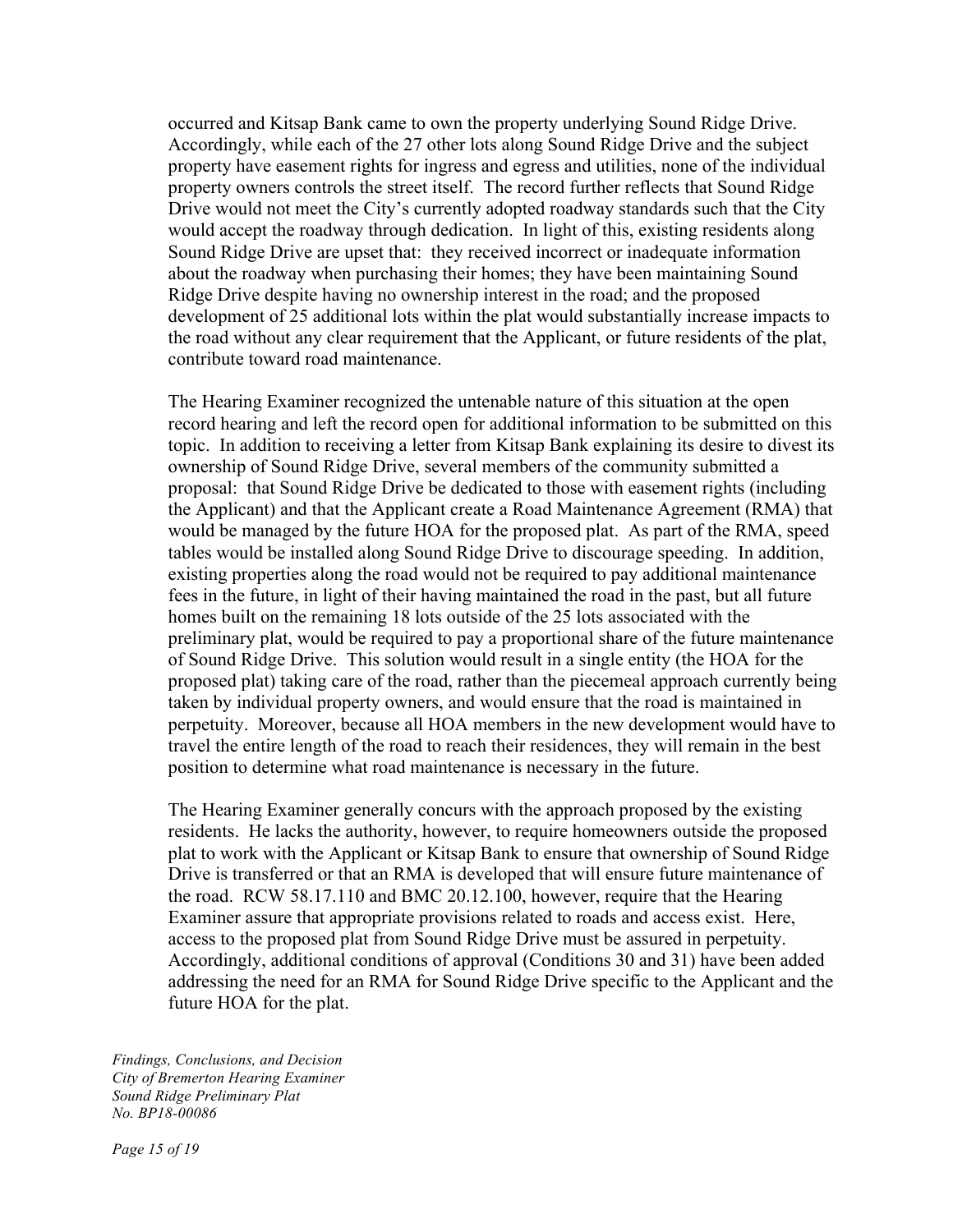occurred and Kitsap Bank came to own the property underlying Sound Ridge Drive. Accordingly, while each of the 27 other lots along Sound Ridge Drive and the subject property have easement rights for ingress and egress and utilities, none of the individual property owners controls the street itself. The record further reflects that Sound Ridge Drive would not meet the City's currently adopted roadway standards such that the City would accept the roadway through dedication. In light of this, existing residents along Sound Ridge Drive are upset that: they received incorrect or inadequate information about the roadway when purchasing their homes; they have been maintaining Sound Ridge Drive despite having no ownership interest in the road; and the proposed development of 25 additional lots within the plat would substantially increase impacts to the road without any clear requirement that the Applicant, or future residents of the plat, contribute toward road maintenance.

The Hearing Examiner recognized the untenable nature of this situation at the open record hearing and left the record open for additional information to be submitted on this topic. In addition to receiving a letter from Kitsap Bank explaining its desire to divest its ownership of Sound Ridge Drive, several members of the community submitted a proposal: that Sound Ridge Drive be dedicated to those with easement rights (including the Applicant) and that the Applicant create a Road Maintenance Agreement (RMA) that would be managed by the future HOA for the proposed plat. As part of the RMA, speed tables would be installed along Sound Ridge Drive to discourage speeding. In addition, existing properties along the road would not be required to pay additional maintenance fees in the future, in light of their having maintained the road in the past, but all future homes built on the remaining 18 lots outside of the 25 lots associated with the preliminary plat, would be required to pay a proportional share of the future maintenance of Sound Ridge Drive. This solution would result in a single entity (the HOA for the proposed plat) taking care of the road, rather than the piecemeal approach currently being taken by individual property owners, and would ensure that the road is maintained in perpetuity. Moreover, because all HOA members in the new development would have to travel the entire length of the road to reach their residences, they will remain in the best position to determine what road maintenance is necessary in the future.

The Hearing Examiner generally concurs with the approach proposed by the existing residents. He lacks the authority, however, to require homeowners outside the proposed plat to work with the Applicant or Kitsap Bank to ensure that ownership of Sound Ridge Drive is transferred or that an RMA is developed that will ensure future maintenance of the road. RCW 58.17.110 and BMC 20.12.100, however, require that the Hearing Examiner assure that appropriate provisions related to roads and access exist. Here, access to the proposed plat from Sound Ridge Drive must be assured in perpetuity. Accordingly, additional conditions of approval (Conditions 30 and 31) have been added addressing the need for an RMA for Sound Ridge Drive specific to the Applicant and the future HOA for the plat.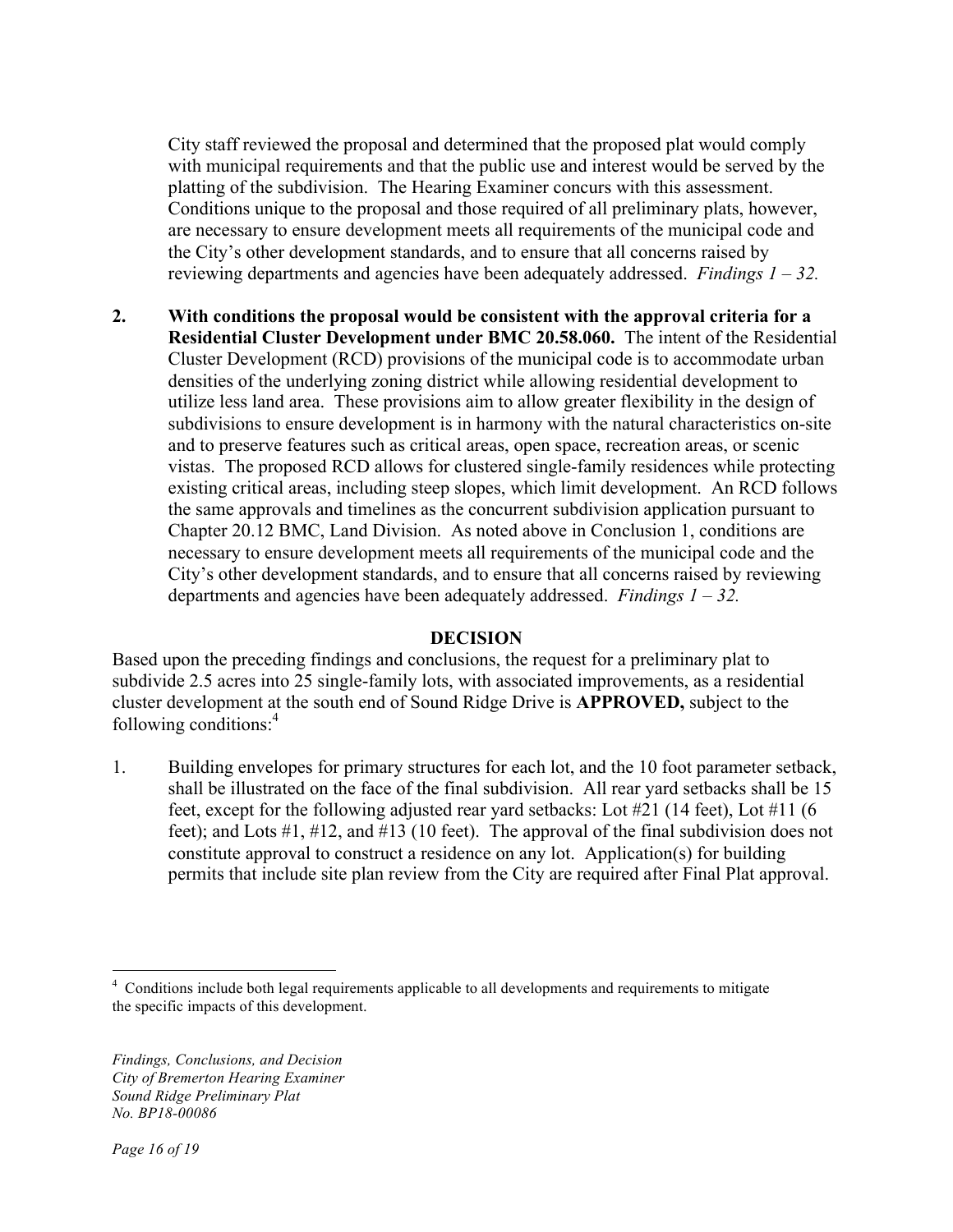City staff reviewed the proposal and determined that the proposed plat would comply with municipal requirements and that the public use and interest would be served by the platting of the subdivision. The Hearing Examiner concurs with this assessment. Conditions unique to the proposal and those required of all preliminary plats, however, are necessary to ensure development meets all requirements of the municipal code and the City's other development standards, and to ensure that all concerns raised by reviewing departments and agencies have been adequately addressed. *Findings 1 – 32.* 

**2. With conditions the proposal would be consistent with the approval criteria for a Residential Cluster Development under BMC 20.58.060.** The intent of the Residential Cluster Development (RCD) provisions of the municipal code is to accommodate urban densities of the underlying zoning district while allowing residential development to utilize less land area. These provisions aim to allow greater flexibility in the design of subdivisions to ensure development is in harmony with the natural characteristics on-site and to preserve features such as critical areas, open space, recreation areas, or scenic vistas. The proposed RCD allows for clustered single-family residences while protecting existing critical areas, including steep slopes, which limit development. An RCD follows the same approvals and timelines as the concurrent subdivision application pursuant to Chapter 20.12 BMC, Land Division. As noted above in Conclusion 1, conditions are necessary to ensure development meets all requirements of the municipal code and the City's other development standards, and to ensure that all concerns raised by reviewing departments and agencies have been adequately addressed. *Findings 1 – 32.*

### **DECISION**

Based upon the preceding findings and conclusions, the request for a preliminary plat to subdivide 2.5 acres into 25 single-family lots, with associated improvements, as a residential cluster development at the south end of Sound Ridge Drive is **APPROVED,** subject to the following conditions:4

1. Building envelopes for primary structures for each lot, and the 10 foot parameter setback, shall be illustrated on the face of the final subdivision. All rear yard setbacks shall be 15 feet, except for the following adjusted rear yard setbacks: Lot #21 (14 feet), Lot #11 (6 feet); and Lots #1, #12, and #13 (10 feet). The approval of the final subdivision does not constitute approval to construct a residence on any lot. Application(s) for building permits that include site plan review from the City are required after Final Plat approval.

 $\frac{1}{4}$  $<sup>4</sup>$  Conditions include both legal requirements applicable to all developments and requirements to mitigate</sup> the specific impacts of this development.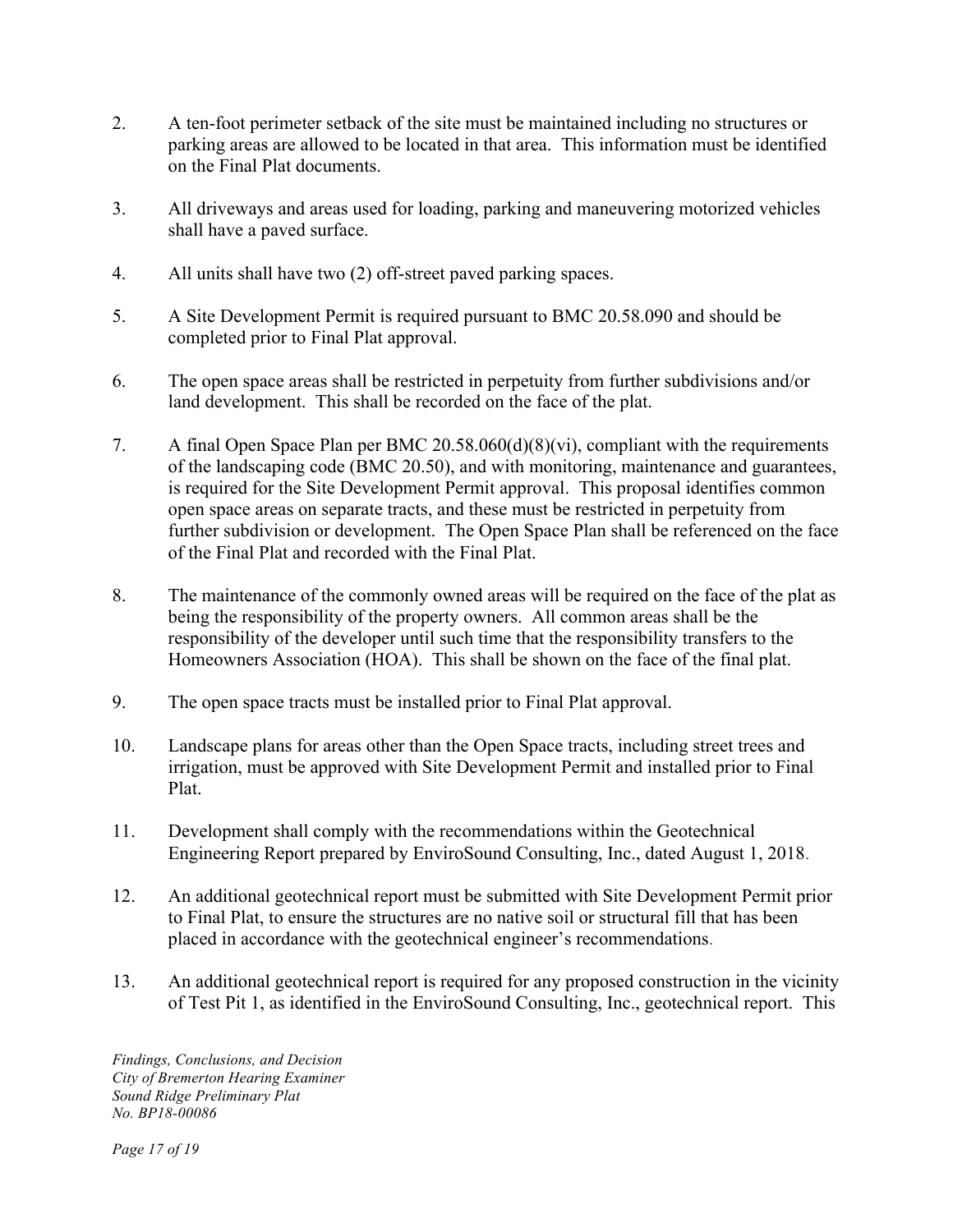- 2. A ten-foot perimeter setback of the site must be maintained including no structures or parking areas are allowed to be located in that area. This information must be identified on the Final Plat documents.
- 3. All driveways and areas used for loading, parking and maneuvering motorized vehicles shall have a paved surface.
- 4. All units shall have two (2) off-street paved parking spaces.
- 5. A Site Development Permit is required pursuant to BMC 20.58.090 and should be completed prior to Final Plat approval.
- 6. The open space areas shall be restricted in perpetuity from further subdivisions and/or land development. This shall be recorded on the face of the plat.
- 7. A final Open Space Plan per BMC 20.58.060(d)(8)(vi), compliant with the requirements of the landscaping code (BMC 20.50), and with monitoring, maintenance and guarantees, is required for the Site Development Permit approval. This proposal identifies common open space areas on separate tracts, and these must be restricted in perpetuity from further subdivision or development. The Open Space Plan shall be referenced on the face of the Final Plat and recorded with the Final Plat.
- 8. The maintenance of the commonly owned areas will be required on the face of the plat as being the responsibility of the property owners. All common areas shall be the responsibility of the developer until such time that the responsibility transfers to the Homeowners Association (HOA). This shall be shown on the face of the final plat.
- 9. The open space tracts must be installed prior to Final Plat approval.
- 10. Landscape plans for areas other than the Open Space tracts, including street trees and irrigation, must be approved with Site Development Permit and installed prior to Final Plat.
- 11. Development shall comply with the recommendations within the Geotechnical Engineering Report prepared by EnviroSound Consulting, Inc., dated August 1, 2018.
- 12. An additional geotechnical report must be submitted with Site Development Permit prior to Final Plat, to ensure the structures are no native soil or structural fill that has been placed in accordance with the geotechnical engineer's recommendations.
- 13. An additional geotechnical report is required for any proposed construction in the vicinity of Test Pit 1, as identified in the EnviroSound Consulting, Inc., geotechnical report. This

*Findings, Conclusions, and Decision City of Bremerton Hearing Examiner Sound Ridge Preliminary Plat No. BP18-00086*

*Page 17 of 19*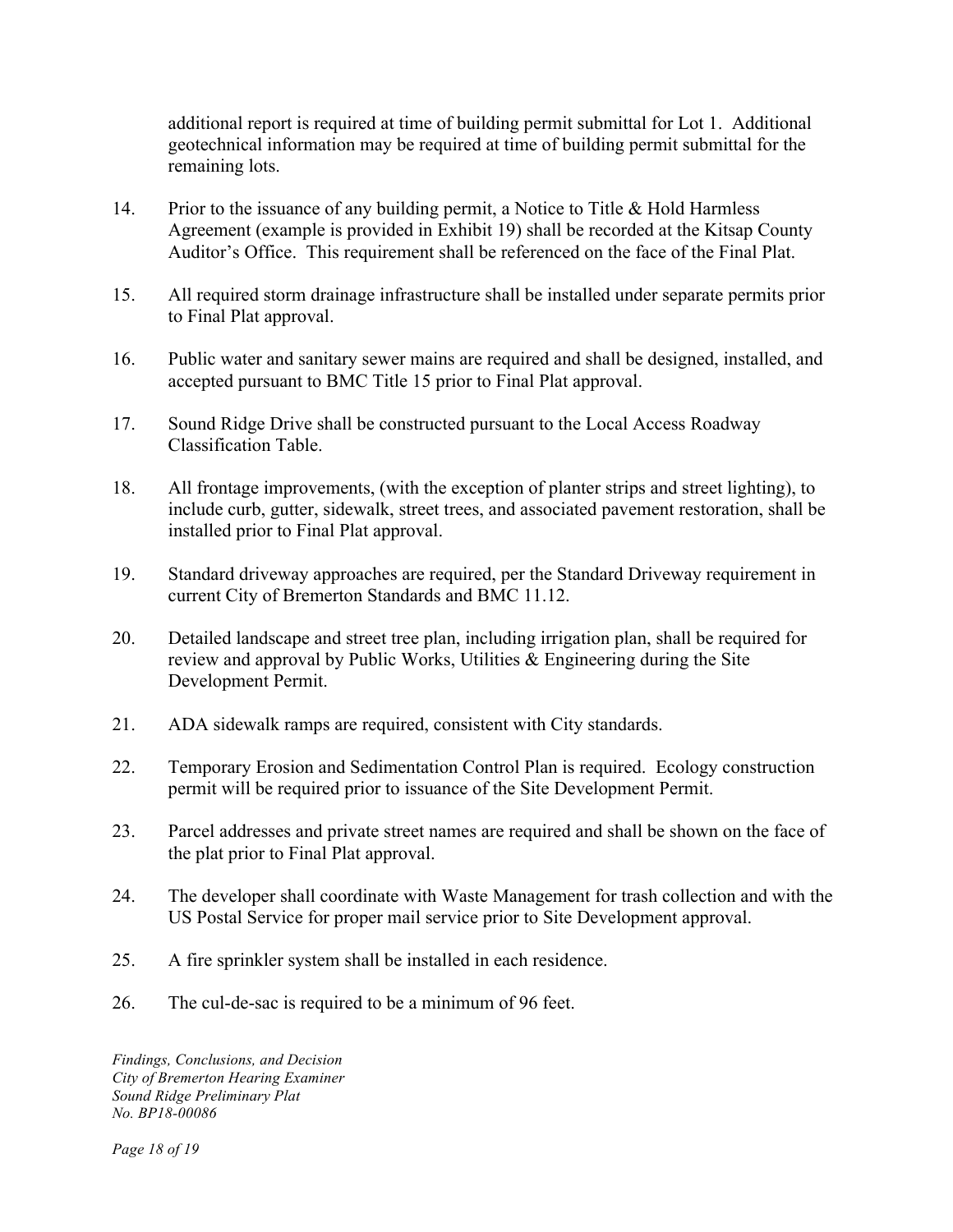additional report is required at time of building permit submittal for Lot 1. Additional geotechnical information may be required at time of building permit submittal for the remaining lots.

- 14. Prior to the issuance of any building permit, a Notice to Title & Hold Harmless Agreement (example is provided in Exhibit 19) shall be recorded at the Kitsap County Auditor's Office. This requirement shall be referenced on the face of the Final Plat.
- 15. All required storm drainage infrastructure shall be installed under separate permits prior to Final Plat approval.
- 16. Public water and sanitary sewer mains are required and shall be designed, installed, and accepted pursuant to BMC Title 15 prior to Final Plat approval.
- 17. Sound Ridge Drive shall be constructed pursuant to the Local Access Roadway Classification Table.
- 18. All frontage improvements, (with the exception of planter strips and street lighting), to include curb, gutter, sidewalk, street trees, and associated pavement restoration, shall be installed prior to Final Plat approval.
- 19. Standard driveway approaches are required, per the Standard Driveway requirement in current City of Bremerton Standards and BMC 11.12.
- 20. Detailed landscape and street tree plan, including irrigation plan, shall be required for review and approval by Public Works, Utilities & Engineering during the Site Development Permit.
- 21. ADA sidewalk ramps are required, consistent with City standards.
- 22. Temporary Erosion and Sedimentation Control Plan is required. Ecology construction permit will be required prior to issuance of the Site Development Permit.
- 23. Parcel addresses and private street names are required and shall be shown on the face of the plat prior to Final Plat approval.
- 24. The developer shall coordinate with Waste Management for trash collection and with the US Postal Service for proper mail service prior to Site Development approval.
- 25. A fire sprinkler system shall be installed in each residence.
- 26. The cul-de-sac is required to be a minimum of 96 feet.

*Findings, Conclusions, and Decision City of Bremerton Hearing Examiner Sound Ridge Preliminary Plat No. BP18-00086*

*Page 18 of 19*